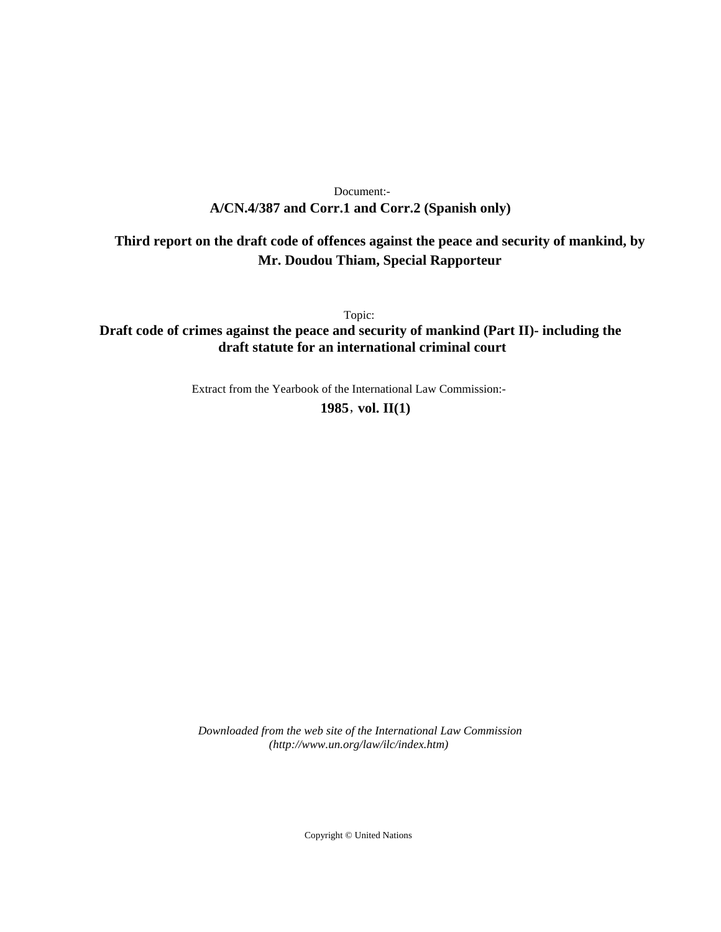# **A/CN.4/387 and Corr.1 and Corr.2 (Spanish only)** Document:-

# **Third report on the draft code of offences against the peace and security of mankind, by Mr. Doudou Thiam, Special Rapporteur**

Topic:

**Draft code of crimes against the peace and security of mankind (Part II)- including the draft statute for an international criminal court**

Extract from the Yearbook of the International Law Commission:-

**1985** , **vol. II(1)**

*Downloaded from the web site of the International Law Commission (http://www.un.org/law/ilc/index.htm)*

Copyright © United Nations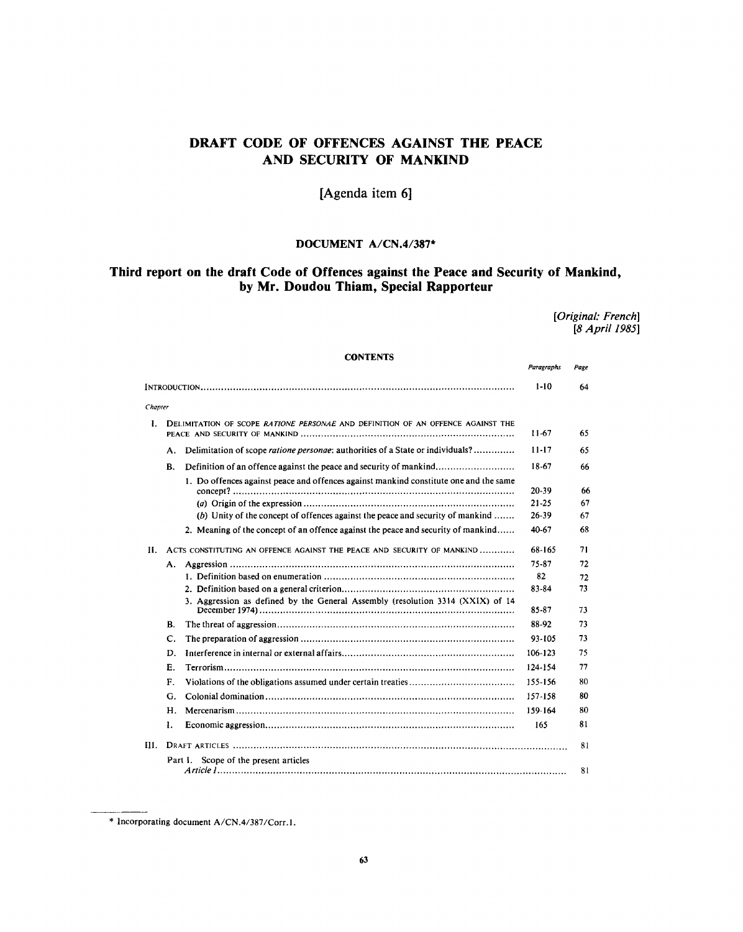# **DRAFT CODE OF OFFENCES AGAINST THE PEACE AND SECURITY OF MANKIND**

# **[Agenda item 6]**

# **DOCUMENT A/CN.4/387\***

# **Third report on the draft Code of Offences against the Peace and Security of Mankind, by Mr. Doudou Thiam, Special Rapporteur**

*[Original: French] [8 April 1985]*

Paragraphs Page

# **CONTENTS**

|         |                                                                                          |                                                                                       | $1 - 10$  | 64 |
|---------|------------------------------------------------------------------------------------------|---------------------------------------------------------------------------------------|-----------|----|
| Chapter |                                                                                          |                                                                                       |           |    |
| L       | DELIMITATION OF SCOPE RATIONE PERSONAE AND DEFINITION OF AN OFFENCE AGAINST THE<br>11-67 |                                                                                       |           | 65 |
|         | А.                                                                                       | Delimitation of scope ratione personae; authorities of a State or individuals?        | $11 - 17$ | 65 |
|         | В.                                                                                       | Definition of an offence against the peace and security of mankind                    | 18-67     | 66 |
|         |                                                                                          | 1. Do offences against peace and offences against mankind constitute one and the same | 20-39     | 66 |
|         |                                                                                          |                                                                                       | $21 - 25$ | 67 |
|         |                                                                                          | (b) Unity of the concept of offences against the peace and security of mankind        | $26 - 39$ | 67 |
|         |                                                                                          | 2. Meaning of the concept of an offence against the peace and security of mankind     | 40.67     | 68 |
| Н.      | ACTS CONSTITUTING AN OFFENCE AGAINST THE PEACE AND SECURITY OF MANKIND                   |                                                                                       | 68-165    | 71 |
|         | А.                                                                                       |                                                                                       | 75-87     | 72 |
|         |                                                                                          |                                                                                       | 82        | 72 |
|         |                                                                                          |                                                                                       | 83-84     | 73 |
|         |                                                                                          | 3. Aggression as defined by the General Assembly (resolution 3314 (XXIX) of 14        | 85-87     | 73 |
|         | В.                                                                                       |                                                                                       | 88-92     | 73 |
|         | C.                                                                                       |                                                                                       | 93-105    | 73 |
|         | D.                                                                                       |                                                                                       | 106-123   | 75 |
|         | Е.                                                                                       |                                                                                       | 124-154   | 77 |
|         | $F_{\perp}$                                                                              |                                                                                       | 155-156   | 80 |
|         | G.                                                                                       |                                                                                       | 157-158   | 80 |
|         | Н.                                                                                       |                                                                                       | 159-164   | 80 |
|         | L                                                                                        |                                                                                       | 165       | 81 |
| H1.     |                                                                                          |                                                                                       |           |    |
|         | Scope of the present articles<br>Part L<br>81                                            |                                                                                       |           |    |

<sup>\*</sup> Incorporating document A/CN.4/387/Corr.l.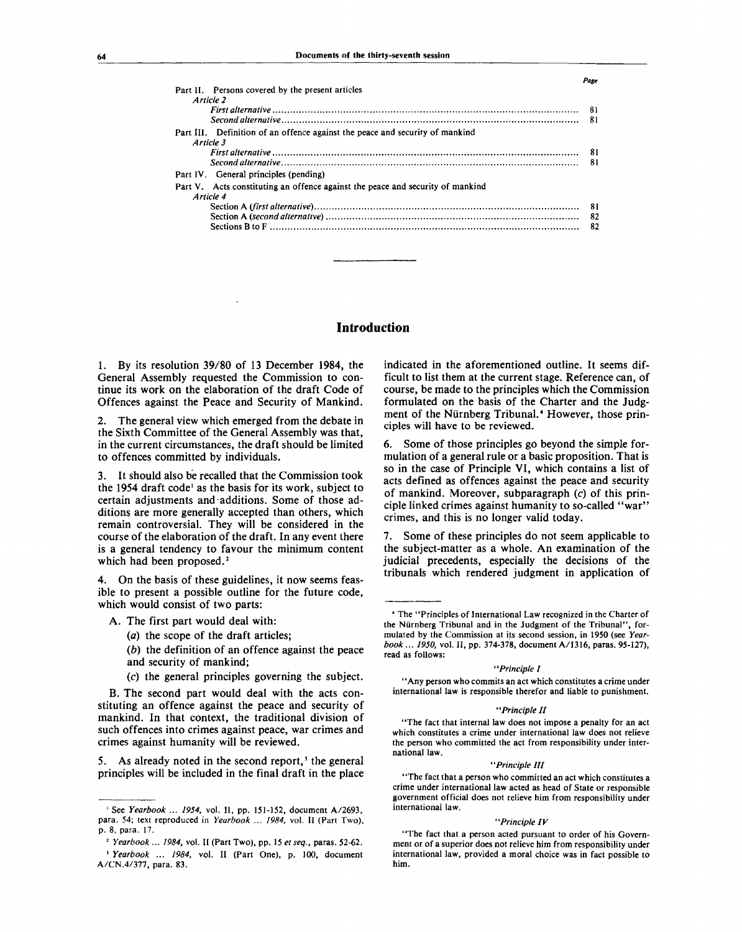| Part II. Persons covered by the present articles<br>Article 2                             |     |
|-------------------------------------------------------------------------------------------|-----|
|                                                                                           |     |
|                                                                                           | 81  |
| Part III. Definition of an offence against the peace and security of mankind<br>Article 3 |     |
|                                                                                           | 81  |
|                                                                                           | 81  |
| Part IV. General principles (pending)                                                     |     |
| Part V. Acts constituting an offence against the peace and security of mankind            |     |
| Article 4                                                                                 |     |
|                                                                                           | -81 |
|                                                                                           | 82  |
|                                                                                           | 82  |

# **Introduction**

1. By its resolution 39/80 of 13 December 1984, the General Assembly requested the Commission to continue its work on the elaboration of the draft Code of Offences against the Peace and Security of Mankind.

2. The general view which emerged from the debate in the Sixth Committee of the General Assembly was that, in the current circumstances, the draft should be limited to offences committed by individuals.

3. It should also be recalled that the Commission took the 1954 draft code<sup>1</sup> as the basis for its work, subject to certain adjustments and additions. Some of those additions are more generally accepted than others, which remain controversial. They will be considered in the course of the elaboration of the draft. In any event there is a general tendency to favour the minimum content which had been proposed.<sup>2</sup>

4. On the basis of these guidelines, it now seems feasible to present a possible outline for the future code, which would consist of two parts:

- A. The first part would deal with:
	- *(a)* the scope of the draft articles;

*(b)* the definition of an offence against the peace and security of mankind;

(c) the general principles governing the subject.

B. The second part would deal with the acts constituting an offence against the peace and security of mankind. In that context, the traditional division of such offences into crimes against peace, war crimes and crimes against humanity will be reviewed.

5. As already noted in the second report,<sup>3</sup> the general principles will be included in the final draft in the place indicated in the aforementioned outline. It seems difficult to list them at the current stage. Reference can, of course, be made to the principles which the Commission formulated on the basis of the Charter and the Judgment of the Nürnberg Tribunal.<sup>4</sup> However, those principles will have to be reviewed.

*Page*

6. Some of those principles go beyond the simple formulation of a general rule or a basic proposition. That is so in the case of Principle VI, which contains a list of acts defined as offences against the peace and security of mankind. Moreover, subparagraph  $(c)$  of this principle linked crimes against humanity to so-called "war" crimes, and this is no longer valid today.

7. Some of these principles do not seem applicable to the subject-matter as a whole. An examination of the judicial precedents, especially the decisions of the tribunals which rendered judgment in application of

#### *"Principle I*

"Any person who commits an act which constitutes a crime under international law is responsible therefor and liable to punishment.

#### *"Principle II*

"The fact that internal law does not impose a penalty for an act which constitutes a crime under international law does not relieve the person who committed the act from responsibility under international law.

#### *"Principle HI*

"The fact that a person who committed an act which constitutes a crime under international law acted as head of State or responsible government official does not relieve him from responsibility under international law.

#### *"Principle IV*

"The fact that a person acted pursuant to order of his Government or of a superior does not relieve him from responsibility under international law, provided a moral choice was in fact possible to him.

<sup>&</sup>lt;sup>1</sup> See *Yearbook ... 1954*, vol. II, pp. 151-152, document A/2693, para. 54; text reproduced in *Yearbook* ... *1984,* vol. II (Part Two), p. 8, para. 17.

<sup>2</sup>  *Yearbook ... 1984,* vol. II (Part Two), pp. 15 *etseq.,* paras. 52-62. <sup>3</sup> Yearbook ... 1984, vol. II (Part One), p. 100, document A/CN.4/377, para. 83.

<sup>4</sup> The "Principles of International Law recognized in the Charter of the Niirnberg Tribunal and in the Judgment of the Tribunal", formulated by the Commission at its second session, in 1950 (see *Yearbook... 1950,* vol. **II,** pp. 374-378, document A/1316, paras. 95-127), read as follows: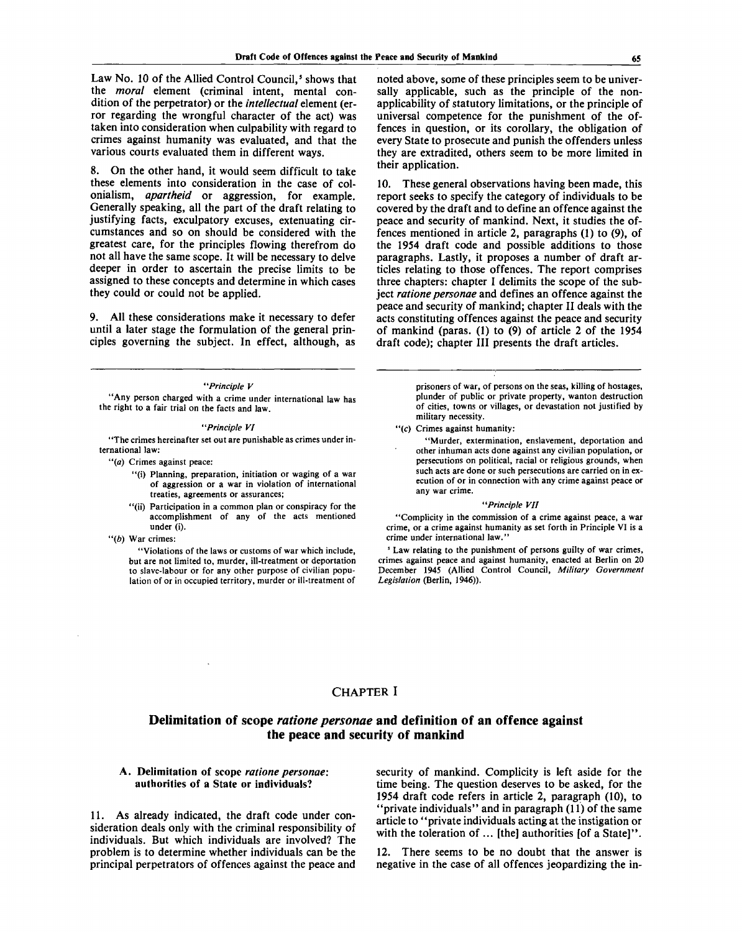Law No. 10 of the Allied Control Council,<sup>5</sup> shows that the *moral* element (criminal intent, mental condition of the perpetrator) or the *intellectual* element (error regarding the wrongful character of the act) was taken into consideration when culpability with regard to crimes against humanity was evaluated, and that the various courts evaluated them in different ways.

8. On the other hand, it would seem difficult to take these elements into consideration in the case of colonialism, *apartheid* or aggression, for example. Generally speaking, all the part of the draft relating to justifying facts, exculpatory excuses, extenuating circumstances and so on should be considered with the greatest care, for the principles flowing therefrom do not all have the same scope. It will be necessary to delve deeper in order to ascertain the precise limits to be assigned to these concepts and determine in which cases they could or could not be applied.

9. All these considerations make it necessary to defer until a later stage the formulation of the general principles governing the subject. In effect, although, as

#### *"Principle V*

"Any person charged with a crime under international law has the right to a fair trial on the facts and law.

#### *"Principle VI*

"The crimes hereinafter set out are punishable as crimes under international law:

- *"(a)* Crimes against peace:
	- "(i) Planning, preparation, initiation or waging of a war of aggression or a war in violation of international treaties, agreements or assurances;
	- "(ii) Participation in a common plan or conspiracy for the accomplishment of any of the acts mentioned under (i).
- *"(b)* War crimes:

"Violations of the laws or customs of war which include, but are not limited to, murder, ill-treatment or deportation to slave-labour or for any other purpose of civilian population of or in occupied territory, murder or ill-treatment of

noted above, some of these principles seem to be universally applicable, such as the principle of the nonapplicability of statutory limitations, or the principle of universal competence for the punishment of the offences in question, or its corollary, the obligation of every State to prosecute and punish the offenders unless they are extradited, others seem to be more limited in their application.

10. These general observations having been made, this report seeks to specify the category of individuals to be covered by the draft and to define an offence against the peace and security of mankind. Next, it studies the offences mentioned in article 2, paragraphs (1) to (9), of the 1954 draft code and possible additions to those paragraphs. Lastly, it proposes a number of draft articles relating to those offences. The report comprises three chapters: chapter I delimits the scope of the subject *ratione personae* and defines an offence against the peace and security of mankind; chapter II deals with the acts constituting offences against the peace and security of mankind (paras. (1) to (9) of article 2 of the 1954 draft code); chapter III presents the draft articles.

> prisoners of war, of persons on the seas, killing of hostages, plunder of public or private property, wanton destruction of cities, towns or villages, or devastation not justified by military necessity,

- "(c) Crimes against humanity:
- "Murder, extermination, enslavement, deportation and other inhuman acts done against any civilian population, or persecutions on political, racial or religious grounds, when such acts are done or such persecutions are carried on in execution of or in connection with any crime against peace or any war crime.

#### *"Principle VII*

"Complicity in the commission of a crime against peace, a war crime, or a crime against humanity as set forth in Principle VI is a crime under international law."

5 Law relating to the punishment of persons guilty of war crimes, crimes against peace and against humanity, enacted at Berlin on 20 December 1945 (Allied Control Council, *Military Government Legislation* (Berlin, 1946)).

## CHAPTER I

# **Delimitation of scope** *ratione personae* **and definition of an offence against the peace and security of mankind**

### A. Delimitation of scope *ratione personae:* authorities of a State or individuals?

11. As already indicated, the draft code under consideration deals only with the criminal responsibility of individuals. But which individuals are involved? The problem is to determine whether individuals can be the principal perpetrators of offences against the peace and security of mankind. Complicity is left aside for the time being. The question deserves to be asked, for the 1954 draft code refers in article 2, paragraph (10), to "private individuals" and in paragraph (11) of the same article to "private individuals acting at the instigation or with the toleration of ... [the] authorities [of a State]".

12. There seems to be no doubt that the answer is negative in the case of all offences jeopardizing the in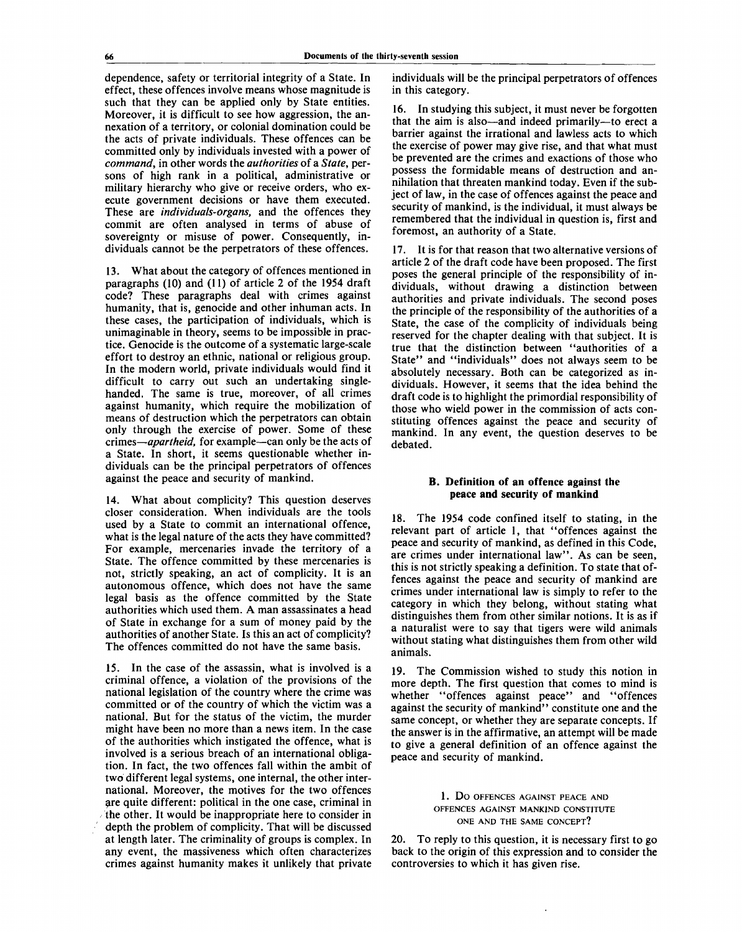dependence, safety or territorial integrity of a State. In effect, these offences involve means whose magnitude is such that they can be applied only by State entities. Moreover, it is difficult to see how aggression, the annexation of a territory, or colonial domination could be the acts of private individuals. These offences can be committed only by individuals invested with a power of *command,* in other words the *authorities* of a *State,* persons of high rank in a political, administrative or military hierarchy who give or receive orders, who execute government decisions or have them executed. These are *individuals-organs,* and the offences they commit are often analysed in terms of abuse of sovereignty or misuse of power. Consequently, individuals cannot be the perpetrators of these offences.

13. What about the category of offences mentioned in paragraphs (10) and (11) of article 2 of the 1954 draft code? These paragraphs deal with crimes against humanity, that is, genocide and other inhuman acts. In these cases, the participation of individuals, which is unimaginable in theory, seems to be impossible in practice. Genocide is the outcome of a systematic large-scale effort to destroy an ethnic, national or religious group. In the modern world, private individuals would find it difficult to carry out such an undertaking singlehanded. The same is true, moreover, of all crimes against humanity, which require the mobilization of means of destruction which the perpetrators can obtain only through the exercise of power. Some of these crimes—*apartheid,* for example—can only be the acts of a State. In short, it seems questionable whether individuals can be the principal perpetrators of offences against the peace and security of mankind.

14. What about complicity? This question deserves closer consideration. When individuals are the tools used by a State to commit an international offence, what is the legal nature of the acts they have committed? For example, mercenaries invade the territory of a State. The offence committed by these mercenaries is not, strictly speaking, an act of complicity. It is an autonomous offence, which does not have the same legal basis as the offence committed by the State authorities which used them. A man assassinates a head of State in exchange for a sum of money paid by the authorities of another State. Is this an act of complicity? The offences committed do not have the same basis.

15. In the case of the assassin, what is involved is a criminal offence, a violation of the provisions of the national legislation of the country where the crime was committed or of the country of which the victim was a national. But for the status of the victim, the murder might have been no more than a news item. In the case of the authorities which instigated the offence, what is involved is a serious breach of an international obligation. In fact, the two offences fall within the ambit of two different legal systems, one internal, the other international. Moreover, the motives for the two offences are quite different: political in the one case, criminal in the other. It would be inappropriate here to consider in depth the problem of complicity. That will be discussed at length later. The criminality of groups is complex. In any event, the massiveness which often characterizes crimes against humanity makes it unlikely that private

individuals will be the principal perpetrators of offences in this category.

16. In studying this subject, it must never be forgotten that the aim is also—and indeed primarily—to erect a barrier against the irrational and lawless acts to which the exercise of power may give rise, and that what must be prevented are the crimes and exactions of those who possess the formidable means of destruction and annihilation that threaten mankind today. Even if the subject of law, in the case of offences against the peace and security of mankind, is the individual, it must always be remembered that the individual in question is, first and foremost, an authority of a State.

17. It is for that reason that two alternative versions of article 2 of the draft code have been proposed. The first poses the general principle of the responsibility of individuals, without drawing a distinction between authorities and private individuals. The second poses the principle of the responsibility of the authorities of a State, the case of the complicity of individuals being reserved for the chapter dealing with that subject. It is true that the distinction between "authorities of a State" and "individuals" does not always seem to be absolutely necessary. Both can be categorized as individuals. However, it seems that the idea behind the draft code is to highlight the primordial responsibility of those who wield power in the commission of acts constituting offences against the peace and security of mankind. In any event, the question deserves to be debated.

### **B. Definition of an offence against the peace and security of mankind**

18. The 1954 code confined itself to stating, in the relevant part of article 1, that "offences against the peace and security of mankind, as defined in this Code, are crimes under international law". As can be seen, this is not strictly speaking a definition. To state that offences against the peace and security of mankind are crimes under international law is simply to refer to the category in which they belong, without stating what distinguishes them from other similar notions. It is as if a naturalist were to say that tigers were wild animals without stating what distinguishes them from other wild animals.

The Commission wished to study this notion in more depth. The first question that comes to mind is whether "offences against peace" and "offences against the security of mankind" constitute one and the same concept, or whether they are separate concepts. If the answer is in the affirmative, an attempt will be made to give a general definition of an offence against the peace and security of mankind.

> 1. DO OFFENCES AGAINST PEACE AND OFFENCES AGAINST MANKIND CONSTITUTE ONE AND THE SAME CONCEPT?

20. To reply to this question, it is necessary first to go back to the origin of this expression and to consider the controversies to which it has given rise.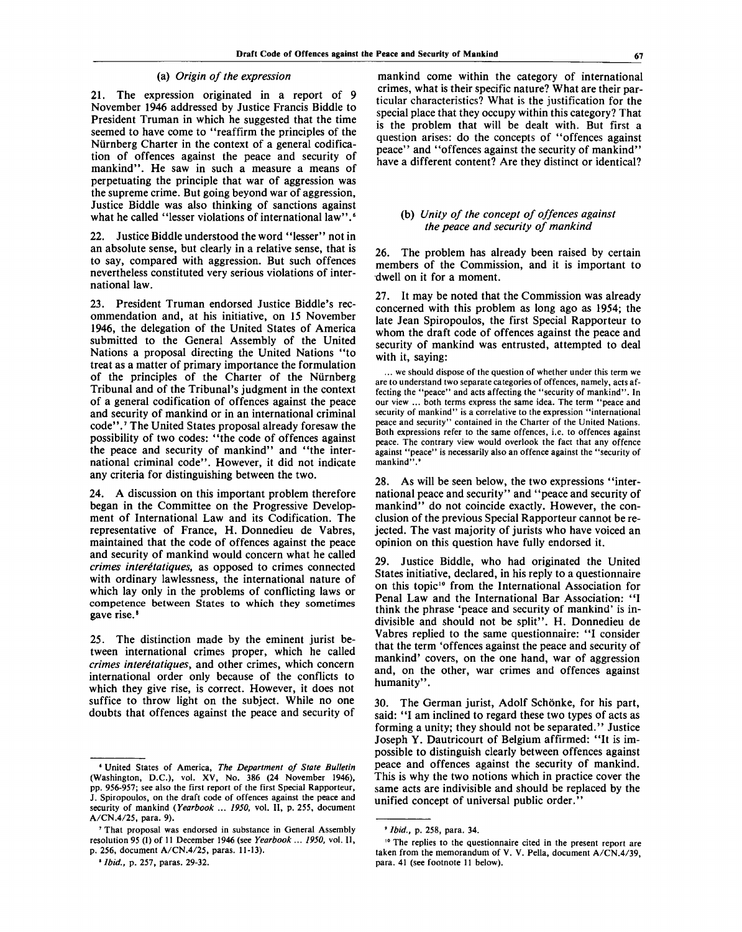#### (a) *Origin of the expression*

21. The expression originated in a report of 9 November 1946 addressed by Justice Francis Biddle to President Truman in which he suggested that the time seemed to have come to "reaffirm the principles of the Niirnberg Charter in the context of a general codification of offences against the peace and security of mankind". He saw in such a measure a means of perpetuating the principle that war of aggression was the supreme crime. But going beyond war of aggression, Justice Biddle was also thinking of sanctions against what he called "lesser violations of international law".<sup>6</sup>

22. Justice Biddle understood the word "lesser'' not in an absolute sense, but clearly in a relative sense, that is to say, compared with aggression. But such offences nevertheless constituted very serious violations of international law.

23. President Truman endorsed Justice Biddle's recommendation and, at his initiative, on 15 November 1946, the delegation of the United States of America submitted to the General Assembly of the United Nations a proposal directing the United Nations "to treat as a matter of primary importance the formulation of the principles of the Charter of the Niirnberg Tribunal and of the Tribunal's judgment in the context of a general codification of offences against the peace and security of mankind or in an international criminal code".<sup>7</sup> The United States proposal already foresaw the possibility of two codes: "the code of offences against the peace and security of mankind" and "the international criminal code". However, it did not indicate any criteria for distinguishing between the two.

24. A discussion on this important problem therefore began in the Committee on the Progressive Development of International Law and its Codification. The representative of France, H. Donnedieu de Vabres, maintained that the code of offences against the peace and security of mankind would concern what he called *crimes intere'tatiques,* as opposed to crimes connected with ordinary lawlessness, the international nature of which lay only in the problems of conflicting laws or competence between States to which they sometimes gave rise.<sup>8</sup>

25. The distinction made by the eminent jurist between international crimes proper, which he called *crimes intere'tatiques,* and other crimes, which concern international order only because of the conflicts to which they give rise, is correct. However, it does not suffice to throw light on the subject. While no one doubts that offences against the peace and security of

mankind come within the category of international crimes, what is their specific nature? What are their particular characteristics? What is the justification for the special place that they occupy within this category? That is the problem that will be dealt with. But first a question arises: do the concepts of "offences against peace" and "offences against the security of mankind" have a different content? Are they distinct or identical?

## (b) *Unity of the concept of offences against the peace and security of mankind*

26. The problem has already been raised by certain members of the Commission, and it is important to dwell on it for a moment.

27. It may be noted that the Commission was already concerned with this problem as long ago as 1954; the late Jean Spiropoulos, the first Special Rapporteur to whom the draft code of offences against the peace and security of mankind was entrusted, attempted to deal with it, saying:

... we should dispose of the question of whether under this term we are to understand two separate categories of offences, namely, acts affecting the "peace" and acts affecting the "security of mankind". In our view ... both terms express the same idea. The term "peace and security of mankind" is a correlative to the expression "international peace and security" contained in the Charter of the United Nations. Both expressions refer to the same offences, i.e. to offences against peace. The contrary view would overlook the fact that any offence against "peace" is necessarily also an offence against the "security of mankind".'

28. As will be seen below, the two expressions "international peace and security" and "peace and security of mankind" do not coincide exactly. However, the conclusion of the previous Special Rapporteur cannot be rejected. The vast majority of jurists who have voiced an opinion on this question have fully endorsed it.

29. Justice Biddle, who had originated the United States initiative, declared, in his reply to a questionnaire on this topic<sup>10</sup> from the International Association for Penal Law and the International Bar Association: "I think the phrase 'peace and security of mankind' is indivisible and should not be split". H. Donnedieu de Vabres replied to the same questionnaire: "I consider that the term 'offences against the peace and security of mankind' covers, on the one hand, war of aggression and, on the other, war crimes and offences against humanity".

30. The German jurist, Adolf Schonke, for his part, said: "I am inclined to regard these two types of acts as forming a unity; they should not be separated." Justice Joseph Y. Dautricourt of Belgium affirmed: "It is impossible to distinguish clearly between offences against peace and offences against the security of mankind. This is why the two notions which in practice cover the same acts are indivisible and should be replaced by the unified concept of universal public order."

<sup>&#</sup>x27; United States of America, *The Department of State Bulletin* (Washington, D.C.), vol. XV, No. 386 (24 November 1946), pp. 956-957; see also the first report of the first Special Rapporteur, J. Spiropoulos, on the draft code of offences against the peace and security of mankind *(Yearbook ... 1950,* vol. II, p. 255, document A/CN.4/25, para. 9).

<sup>7</sup> That proposal was endorsed in substance in General Assembly resolution 95 (I) of 11 December 1946 (see *Yearbook ... 1950,* vol. II, p. 256, document A/CN.4/25, paras. 11-13).

<sup>1</sup>  *Ibid.,* p. 257, paras. 29-32.

<sup>&#</sup>x27; *Ibid.,* p. 258, para. 34.

<sup>&</sup>lt;sup>10</sup> The replies to the questionnaire cited in the present report are taken from the memorandum of V. V. Pella, document A/CN.4/39, para. 41 (see footnote 11 below).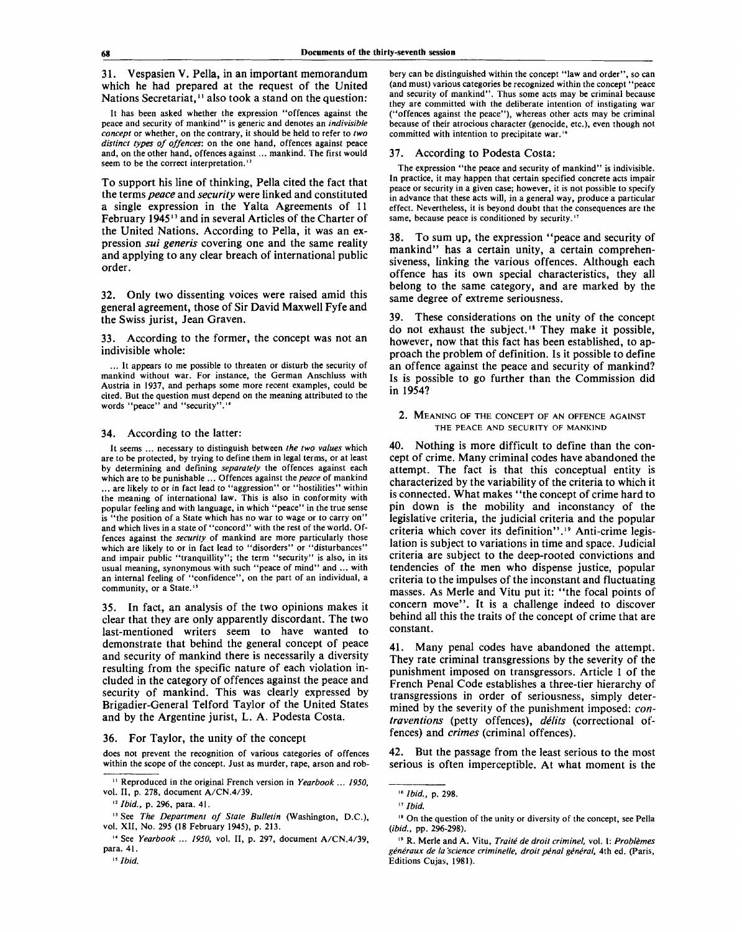31. Vespasien V. Pella, in an important memorandum which he had prepared at the request of the United Nations Secretariat,<sup>11</sup> also took a stand on the question:

It has been asked whether the expression "offences against the peace and security of mankind" is generic and denotes an *indivisible concept* or whether, on the contrary, it should be held to refer to *two distinct types of offences:* on the one hand, offences against peace and, on the other hand, offences against... mankind. The first would seem to be the correct interpretation.<sup>12</sup>

To support his line of thinking, Pella cited the fact that the terms *peace* and *security* were linked and constituted a single expression in the Yalta Agreements of 11 February 1945<sup>13</sup> and in several Articles of the Charter of the United Nations. According to Pella, it was an expression *sui generis* covering one and the same reality and applying to any clear breach of international public order.

32. Only two dissenting voices were raised amid this general agreement, those of Sir David Maxwell Fyfe and the Swiss jurist, Jean Graven.

33. According to the former, the concept was not an indivisible whole:

... It appears to me possible to threaten or disturb the security of mankind without war. For instance, the German Anschluss with Austria in 1937, and perhaps some more recent examples, could be cited. But the question must depend on the meaning attributed to the words "peace" and "security".<sup>14</sup>

#### 34. According to the latter:

It seems ... necessary to distinguish between *the two values* which are to be protected, by trying to define them in legal terms, or at least by determining and defining *separately* the offences against each which are to be punishable ... Offences against the *peace* of mankind ... are likely to or in fact lead to "aggression" or "hostilities" within the meaning of international law. This is also in conformity with popular feeling and with language, in which "peace" in the true sense is "the position of a State which has no war to wage or to carry on" and which lives in a state of "concord" with the rest of the world. Offences against the *security* of mankind are more particularly those which are likely to or in fact lead to "disorders" or "disturbances" and impair public "tranquillity"; the term "security" is also, in its usual meaning, synonymous with such "peace of mind" and ... with an internal feeling of "confidence", on the part of an individual, a community, or a State.<sup>15</sup>

35. In fact, an analysis of the two opinions makes it clear that they are only apparently discordant. The two last-mentioned writers seem to have wanted to demonstrate that behind the general concept of peace and security of mankind there is necessarily a diversity resulting from the specific nature of each violation included in the category of offences against the peace and security of mankind. This was clearly expressed by Brigadier-General Telford Taylor of the United States and by the Argentine jurist, L. A. Podesta Costa.

#### 36. For Taylor, the unity of the concept

does not prevent the recognition of various categories of offences within the scope of the concept. Just as murder, rape, arson and rob-

*"Ibid.,* p. 296, para. 41.

#### 37. According to Podesta Costa:

The expression "the peace and security of mankind" is indivisible. In practice, it may happen that certain specified concrete acts impair peace or security in a given case; however, it is not possible to specify in advance that these acts will, in a general way, produce a particular effect. Nevertheless, it is beyond doubt that the consequences are the same, because peace is conditioned by security.<sup>17</sup>

38. To sum up, the expression "peace and security of mankind" has a certain unity, a certain comprehensiveness, linking the various offences. Although each offence has its own special characteristics, they all belong to the same category, and are marked by the same degree of extreme seriousness.

39. These considerations on the unity of the concept do not exhaust the subject." They make it possible, however, now that this fact has been established, to approach the problem of definition. Is it possible to define an offence against the peace and security of mankind? Is is possible to go further than the Commission did in 1954?

2. MEANING OF THE CONCEPT OF AN OFFENCE AGAINST THE PEACE AND SECURITY OF MANKIND

40. Nothing is more difficult to define than the concept of crime. Many criminal codes have abandoned the attempt. The fact is that this conceptual entity is characterized by the variability of the criteria to which it is connected. What makes "the concept of crime hard to pin down is the mobility and inconstancy of the legislative criteria, the judicial criteria and the popular criteria which cover its definition".<sup>19</sup> Anti-crime legislation is subject to variations in time and space. Judicial criteria are subject to the deep-rooted convictions and tendencies of the men who dispense justice, popular criteria to the impulses of the inconstant and fluctuating masses. As Merle and Vitu put it: "the focal points of concern move". It is a challenge indeed to discover behind all this the traits of the concept of crime that are constant.

41. Many penal codes have abandoned the attempt. They rate criminal transgressions by the severity of the punishment imposed on transgressors. Article 1 of the French Penal Code establishes a three-tier hierarchy of transgressions in order of seriousness, simply determined by the severity of the punishment imposed: *contraventions* (petty offences), *delits* (correctional offences) and *crimes* (criminal offences).

42. But the passage from the least serious to the most serious is often imperceptible. At what moment is the

<sup>&</sup>lt;sup>11</sup> Reproduced in the original French version in Yearbook ... 1950, vol. II, p. 278, document A/CN.4/39.

<sup>13</sup> See *The Department of State Bulletin* (Washington, D.C.), vol. XII, No. 295 (18 February 1945), p. 213.

<sup>14</sup> See *Yearbook ... 1950,* vol. II, p. 297, document A/CN.4/39, para. 41.

bery can be distinguished within the concept "law and order", so can (and must) various categories be recognized within the concept "peace and security of mankind". Thus some acts may be criminal because they are committed with the deliberate intention of instigating war ("offences against the peace"), whereas other acts may be criminal because of their atrocious character (genocide, etc.), even though not committed with intention to precipitate war."

<sup>16</sup>  *Ibid.,* p. 298.

<sup>17</sup>  *Ibid.*

<sup>&</sup>quot; On the question of the unity or diversity of the concept, see Pella *(ibid.,* pp. 296-298).

<sup>&</sup>lt;sup>19</sup> R. Merle and A. Vitu, *Traité de droit criminel*, vol. I: *Problèmes generaux de la science criminelle, droit penal general,* 4th ed. (Paris, Editions Cujas, 1981).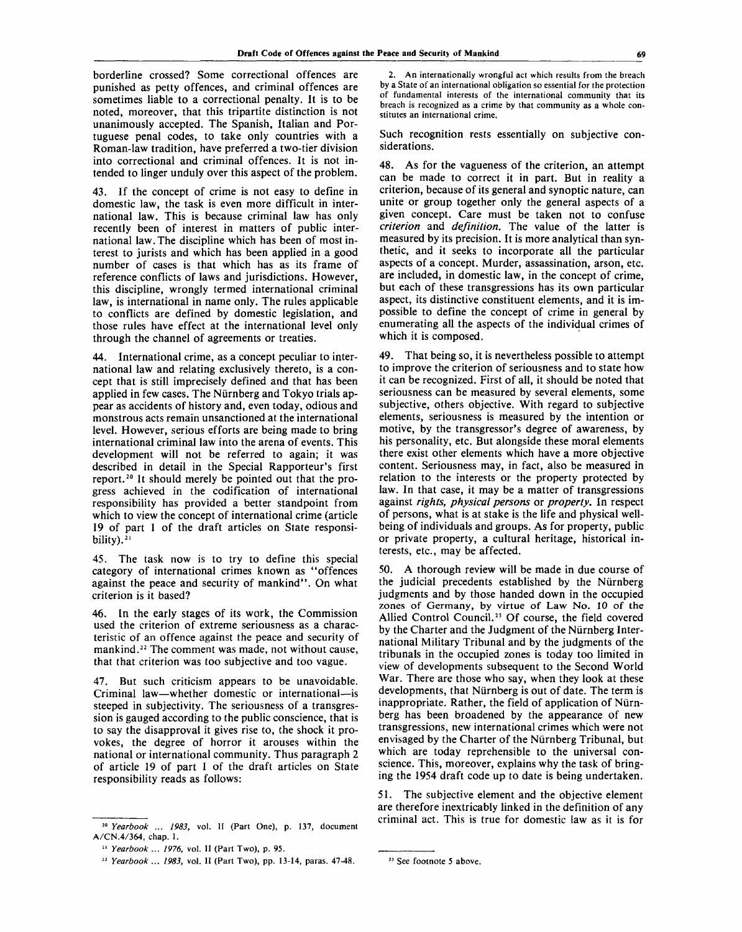borderline crossed? Some correctional offences are punished as petty offences, and criminal offences are sometimes liable to a correctional penalty. It is to be noted, moreover, that this tripartite distinction is not unanimously accepted. The Spanish, Italian and Portuguese penal codes, to take only countries with a Roman-law tradition, have preferred a two-tier division into correctional and criminal offences. It is not intended to linger unduly over this aspect of the problem.

43. If the concept of crime is not easy to define in domestic law, the task is even more difficult in international law. This is because criminal law has only recently been of interest in matters of public international law. The discipline which has been of most interest to jurists and which has been applied in a good number of cases is that which has as its frame of reference conflicts of laws and jurisdictions. However, this discipline, wrongly termed international criminal law, is international in name only. The rules applicable to conflicts are defined by domestic legislation, and those rules have effect at the international level only through the channel of agreements or treaties.

44. International crime, as a concept peculiar to international law and relating exclusively thereto, is a concept that is still imprecisely defined and that has been applied in few cases. The Niimberg and Tokyo trials appear as accidents of history and, even today, odious and monstrous acts remain unsanctioned at the international level. However, serious efforts are being made to bring international criminal law into the arena of events. This development will not be referred to again; it was described in detail in the Special Rapporteur's first report.<sup>20</sup> It should merely be pointed out that the progress achieved in the codification of international responsibility has provided a better standpoint from which to view the concept of international crime (article 19 of part 1 of the draft articles on State responsibility). $21$ 

45. The task now is to try to define this special category of international crimes known as "offences against the peace and security of mankind". On what criterion is it based?

46. In the early stages of its work, the Commission used the criterion of extreme seriousness as a characteristic of an offence against the peace and security of mankind.<sup>22</sup> The comment was made, not without cause, that that criterion was too subjective and too vague.

47. But such criticism appears to be unavoidable. Criminal law—whether domestic or international—is steeped in subjectivity. The seriousness of a transgression is gauged according to the public conscience, that is to say the disapproval it gives rise to, the shock it provokes, the degree of horror it arouses within the national or international community. Thus paragraph 2 of article 19 of part 1 of the draft articles on State responsibility reads as follows:

2. An internationally wrongful act which results from the breach by a State of an international obligation so essential for the protection of fundamental interests of the international community that its breach is recognized as a crime by that community as a whole constitutes an international crime.

Such recognition rests essentially on subjective considerations.

48. As for the vagueness of the criterion, an attempt can be made to correct it in part. But in reality a criterion, because of its general and synoptic nature, can unite or group together only the general aspects of a given concept. Care must be taken not to confuse *criterion* and *definition.* The value of the latter is measured by its precision. It is more analytical than synthetic, and it seeks to incorporate all the particular aspects of a concept. Murder, assassination, arson, etc. are included, in domestic law, in the concept of crime, but each of these transgressions has its own particular aspect, its distinctive constituent elements, and it is impossible to define the concept of crime in general by enumerating all the aspects of the individual crimes of which it is composed.

49. That being so, it is nevertheless possible to attempt to improve the criterion of seriousness and to state how it can be recognized. First of all, it should be noted that seriousness can be measured by several elements, some subjective, others objective. With regard to subjective elements, seriousness is measured by the intention or motive, by the transgressor's degree of awareness, by his personality, etc. But alongside these moral elements there exist other elements which have a more objective content. Seriousness may, in fact, also be measured in relation to the interests or the property protected by law. In that case, it may be a matter of transgressions against *rights, physical persons* or *property.* In respect of persons, what is at stake is the life and physical wellbeing of individuals and groups. As for property, public or private property, a cultural heritage, historical interests, etc., may be affected.

50. A thorough review will be made in due course of the judicial precedents established by the Niirnberg judgments and by those handed down in the occupied zones of Germany, by virtue of Law No. 10 of the Allied Control Council.<sup>23</sup> Of course, the field covered by the Charter and the Judgment of the Niirnberg International Military Tribunal and by the judgments of the tribunals in the occupied zones is today too limited in view of developments subsequent to the Second World War. There are those who say, when they look at these developments, that Niirnberg is out of date. The term is inappropriate. Rather, the field of application of Niirnberg has been broadened by the appearance of new transgressions, new international crimes which were not envisaged by the Charter of the Niirnberg Tribunal, but which are today reprehensible to the universal conscience. This, moreover, explains why the task of bringing the 1954 draft code up to date is being undertaken.

51. The subjective element and the objective element are therefore inextricably linked in the definition of any criminal act. This is true for domestic law as it is for

<sup>20</sup>  *Yearbook ... 1983,* vol. II (Part One), p. 137, document A/CN.4/364, chap. I.

<sup>21</sup>  *Yearbook ... 1976,* vol. II (Part Two), p. 95.

<sup>22</sup>  *Yearbook* ... *1983,* vol. II (Part Two), pp. 13-14, paras. 47-48.

<sup>23</sup> See footnote 5 above.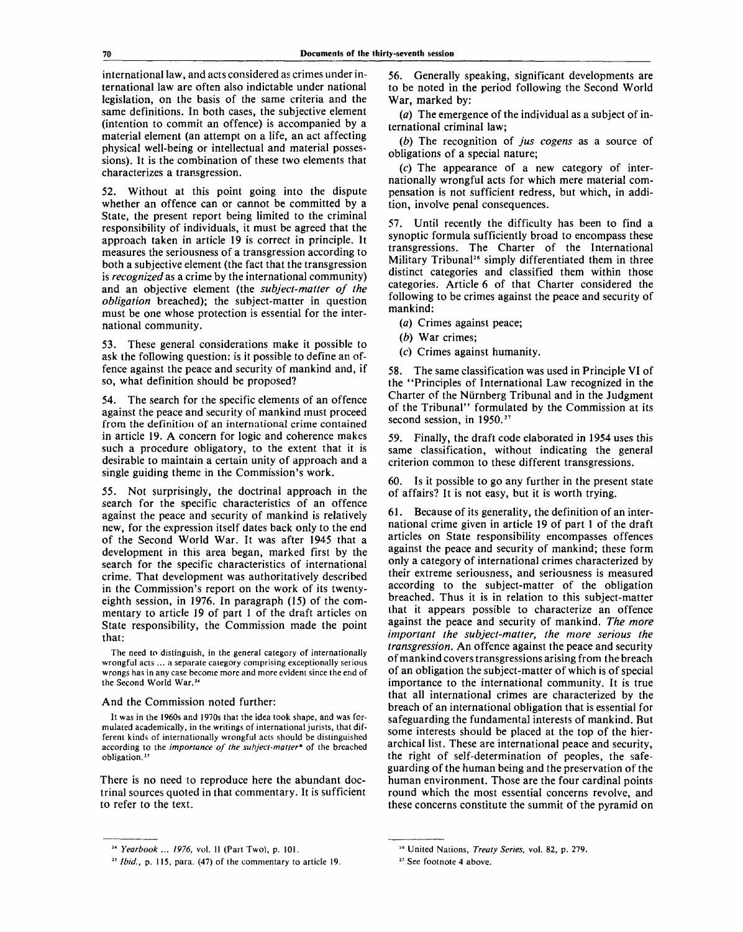international law, and acts considered as crimes under international law are often also indictable under national legislation, on the basis of the same criteria and the same definitions. In both cases, the subjective element (intention to commit an offence) is accompanied by a material element (an attempt on a life, an act affecting physical well-being or intellectual and material possessions). It is the combination of these two elements that characterizes a transgression.

52. Without at this point going into the dispute whether an offence can or cannot be committed by a State, the present report being limited to the criminal responsibility of individuals, it must be agreed that the approach taken in article 19 is correct in principle. It measures the seriousness of a transgression according to both a subjective element (the fact that the transgression is *recognized* as a crime by the international community) and an objective element (the *subject-matter of the obligation* breached); the subject-matter in question must be one whose protection is essential for the international community.

53. These general considerations make it possible to ask the following question: is it possible to define an offence against the peace and security of mankind and, if so, what definition should be proposed?

54. The search for the specific elements of an offence against the peace and security of mankind must proceed from the definition of an international crime contained in article 19. A concern for logic and coherence makes such a procedure obligatory, to the extent that it is desirable to maintain a certain unity of approach and a single guiding theme in the Commission's work.

55. Not surprisingly, the doctrinal approach in the search for the specific characteristics of an offence against the peace and security of mankind is relatively new, for the expression itself dates back only to the end of the Second World War. It was after 1945 that a development in this area began, marked first by the search for the specific characteristics of international crime. That development was authoritatively described in the Commission's report on the work of its twentyeighth session, in 1976. In paragraph (15) of the commentary to article 19 of part 1 of the draft articles on State responsibility, the Commission made the point that:

The need to distinguish, in the general category of internationally wrongful acts ... a separate category comprising exceptionally serious wrongs has in any case become more and more evident since the end of the Second World War.<sup>24</sup>

#### And the Commission noted further:

It was in the 1960s and 1970s that the idea took shape, and was formulated academically, in the writings of international jurists, that different kinds of internationally wrongful acts should be distinguished according to the *importance of the subject-matter\** of the breached obligation.<sup>25</sup>

There is no need to reproduce here the abundant doctrinal sources quoted in that commentary. It is sufficient to refer to the text.

56. Generally speaking, significant developments are to be noted in the period following the Second World War, marked by:

*(a)* The emergence of the individual as a subject of international criminal law;

*(b)* The recognition of *jus cogens* as a source of obligations of a special nature;

(c) The appearance of a new category of internationally wrongful acts for which mere material compensation is not sufficient redress, but which, in addition, involve penal consequences.

57. Until recently the difficulty has been to find a synoptic formula sufficiently broad to encompass these transgressions. The Charter of the International Military Tribunal<sup>26</sup> simply differentiated them in three distinct categories and classified them within those categories. Article 6 of that Charter considered the following to be crimes against the peace and security of mankind:

- *(a)* Crimes against peace;
- *(b)* War crimes;
- *(c)* Crimes against humanity.

58. The same classification was used in Principle VI of the "Principles of International Law recognized in the Charter of the Niirnberg Tribunal and in the Judgment of the Tribunal" formulated by the Commission at its second session, in 1950.<sup>27</sup>

59. Finally, the draft code elaborated in 1954 uses this same classification, without indicating the general criterion common to these different transgressions.

60. Is it possible to go any further in the present state of affairs? It is not easy, but it is worth trying.

61. Because of its generality, the definition of an international crime given in article 19 of part 1 of the draft articles on State responsibility encompasses offences against the peace and security of mankind; these form only a category of international crimes characterized by their extreme seriousness, and seriousness is measured according to the subject-matter of the obligation breached. Thus it is in relation to this subject-matter that it appears possible to characterize an offence against the peace and security of mankind. *The more important the subject-matter, the more serious the transgression.* An offence against the peace and security of mankind covers transgressions arising from the breach of an obligation the subject-matter of which is of special importance to the international community. It is true that all international crimes are characterized by the breach of an international obligation that is essential for safeguarding the fundamental interests of mankind. But some interests should be placed at the top of the hierarchical list. These are international peace and security, the right of self-determination of peoples, the safeguarding of the human being and the preservation of the human environment. Those are the four cardinal points round which the most essential concerns revolve, and these concerns constitute the summit of the pyramid on

<sup>24</sup>  *Yearbook ... 1976,* vol. II (Part Two), p. 101.

*<sup>25</sup> Ibid.,* p. 115, para. (47) of the commentary to article 19.

<sup>26</sup> United Nations, *Treaty Series,* vol. 82, p. 279.

<sup>27</sup> See footnote 4 above.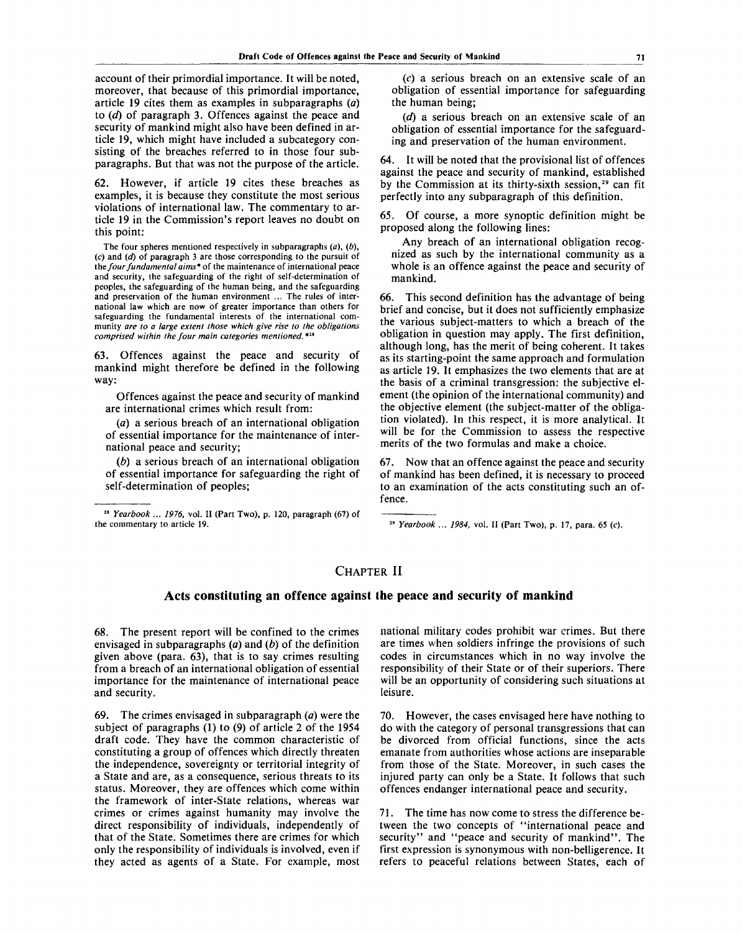account of their primordial importance. It will be noted, moreover, that because of this primordial importance, article 19 cites them as examples in subparagraphs *(a)* to *(d)* of paragraph 3. Offences against the peace and security of mankind might also have been defined in article 19, which might have included a subcategory consisting of the breaches referred to in those four subparagraphs. But that was not the purpose of the article.

62. However, if article 19 cites these breaches as examples, it is because they constitute the most serious violations of international law. The commentary to article 19 in the Commission's report leaves no doubt on this point:

The four spheres mentioned respectively in subparagraphs *(a), (b),* (c) and *(d)* of paragraph 3 are those corresponding to the pursuit of *the four fundamental aims\** of the maintenance of international peace and security, the safeguarding of the right of self-determination of peoples, the safeguarding of the human being, and the safeguarding and preservation of the human environment ... The rules of international law which are now of greater importance than others for safeguarding the fundamental interests of the international community *are to a large extent those which give rise to the obligations comprised within the four main categories mentioned.* \*<sup>28</sup>

63. Offences against the peace and security of mankind might therefore be defined in the following way:

Offences against the peace and security of mankind are international crimes which result from:

*(a)* a serious breach of an international obligation of essential importance for the maintenance of international peace and security;

*ib)* a serious breach of an international obligation of essential importance for safeguarding the right of self-determination of peoples;

28  *Yearbook ... 1976,* vol. II (Part Two), p. 120, paragraph (67) of the commentary to article 19.

(c) a serious breach on an extensive scale of an obligation of essential importance for safeguarding the human being;

*(d)* a serious breach on an extensive scale of an obligation of essential importance for the safeguarding and preservation of the human environment.

64. It will be noted that the provisional list of offences against the peace and security of mankind, established by the Commission at its thirty-sixth session,<sup>29</sup> can fit perfectly into any subparagraph of this definition.

65. Of course, a more synoptic definition might be proposed along the following lines:

Any breach of an international obligation recognized as such by the international community as a whole is an offence against the peace and security of mankind.

66. This second definition has the advantage of being brief and concise, but it does not sufficiently emphasize the various subject-matters to which a breach of the obligation in question may apply. The first definition, although long, has the merit of being coherent. It takes as its starting-point the same approach and formulation as article 19. It emphasizes the two elements that are at the basis of a criminal transgression: the subjective element (the opinion of the international community) and the objective element (the subject-matter of the obligation violated). In this respect, it is more analytical. It will be for the Commission to assess the respective merits of the two formulas and make a choice.

67. Now that an offence against the peace and security of mankind has been defined, it is necessary to proceed to an examination of the acts constituting such an offence.

29  *Yearbook ... 1984,* vol. II (Part Two), p. 17, para. 65 (c).

# **CHAPTER II**

## **Acts constituting an offence against the peace and security of mankind**

68. The present report will be confined to the crimes envisaged in subparagraphs *(a)* and *(b)* of the definition given above (para. 63), that is to say crimes resulting from a breach of an international obligation of essential importance for the maintenance of international peace and security.

69. The crimes envisaged in subparagraph *(a)* were the subject of paragraphs (1) to (9) of article 2 of the 1954 draft code. They have the common characteristic of constituting a group of offences which directly threaten the independence, sovereignty or territorial integrity of a State and are, as a consequence, serious threats to its status. Moreover, they are offences which come within the framework of inter-State relations, whereas war crimes or crimes against humanity may involve the direct responsibility of individuals, independently of that of the State. Sometimes there are crimes for which only the responsibility of individuals is involved, even if they acted as agents of a State. For example, most national military codes prohibit war crimes. But there are times when soldiers infringe the provisions of such codes in circumstances which in no way involve the responsibility of their State or of their superiors. There will be an opportunity of considering such situations at leisure.

70. However, the cases envisaged here have nothing to do with the category of personal transgressions that can be divorced from official functions, since the acts emanate from authorities whose actions are inseparable from those of the State. Moreover, in such cases the injured party can only be a State. It follows that such offences endanger international peace and security.

71. The time has now come to stress the difference between the two concepts of "international peace and security" and "peace and security of mankind". The first expression is synonymous with non-belligerence. It refers to peaceful relations between States, each of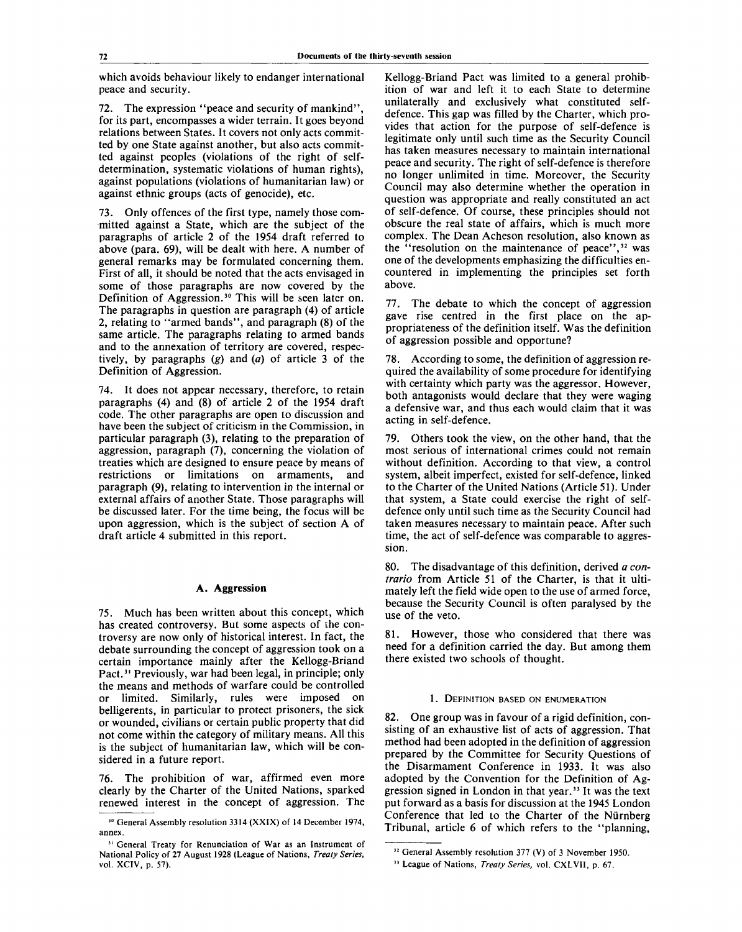which avoids behaviour likely to endanger international peace and security.

72. The expression "peace and security of mankind", for its part, encompasses a wider terrain. It goes beyond relations between States. It covers not only acts committed by one State against another, but also acts committed against peoples (violations of the right of selfdetermination, systematic violations of human rights), against populations (violations of humanitarian law) or against ethnic groups (acts of genocide), etc.

73. Only offences of the first type, namely those committed against a State, which are the subject of the paragraphs of article 2 of the 1954 draft referred to above (para. 69), will be dealt with here. A number of general remarks may be formulated concerning them. First of all, it should be noted that the acts envisaged in some of those paragraphs are now covered by the Definition of Aggression.<sup>30</sup> This will be seen later on. The paragraphs in question are paragraph (4) of article 2, relating to "armed bands", and paragraph (8) of the same article. The paragraphs relating to armed bands and to the annexation of territory are covered, respectively, by paragraphs *(g)* and *(a)* of article 3 of the Definition of Aggression.

74. It does not appear necessary, therefore, to retain paragraphs (4) and (8) of article 2 of the 1954 draft code. The other paragraphs are open to discussion and have been the subject of criticism in the Commission, in particular paragraph (3), relating to the preparation of aggression, paragraph (7), concerning the violation of treaties which are designed to ensure peace by means of restrictions or limitations on armaments, and paragraph (9), relating to intervention in the internal or external affairs of another State. Those paragraphs will be discussed later. For the time being, the focus will be upon aggression, which is the subject of section A of draft article 4 submitted in this report.

## **A. Aggression**

75. Much has been written about this concept, which has created controversy. But some aspects of the controversy are now only of historical interest. In fact, the debate surrounding the concept of aggression took on a certain importance mainly after the Kellogg-Briand Pact.<sup>31</sup> Previously, war had been legal, in principle; only the means and methods of warfare could be controlled<br>or limited. Similarly, rules, were, imposed on or limited. Similarly, rules were imposed belligerents, in particular to protect prisoners, the sick or wounded, civilians or certain public property that did not come within the category of military means. All this is the subject of humanitarian law, which will be considered in a future report.

76. The prohibition of war, affirmed even more clearly by the Charter of the United Nations, sparked renewed interest in the concept of aggression. The Kellogg-Briand Pact was limited to a general prohibition of war and left it to each State to determine unilaterally and exclusively what constituted selfdefence. This gap was filled by the Charter, which provides that action for the purpose of self-defence is legitimate only until such time as the Security Council has taken measures necessary to maintain international peace and security. The right of self-defence is therefore no longer unlimited in time. Moreover, the Security Council may also determine whether the operation in question was appropriate and really constituted an act of self-defence. Of course, these principles should not obscure the real state of affairs, which is much more complex. The Dean Acheson resolution, also known as the "resolution on the maintenance of peace", $32$  was one of the developments emphasizing the difficulties encountered in implementing the principles set forth above.

77. The debate to which the concept of aggression gave rise centred in the first place on the appropriateness of the definition itself. Was the definition of aggression possible and opportune?

78. According to some, the definition of aggression required the availability of some procedure for identifying with certainty which party was the aggressor. However, both antagonists would declare that they were waging a defensive war, and thus each would claim that it was acting in self-defence.

79. Others took the view, on the other hand, that the most serious of international crimes could not remain without definition. According to that view, a control system, albeit imperfect, existed for self-defence, linked to the Charter of the United Nations (Article 51). Under that system, a State could exercise the right of selfdefence only until such time as the Security Council had taken measures necessary to maintain peace. After such time, the act of self-defence was comparable to aggression.

80. The disadvantage of this definition, derived *a contrario* from Article 51 of the Charter, is that it ultimately left the field wide open to the use of armed force, because the Security Council is often paralysed by the use of the veto.

81. However, those who considered that there was need for a definition carried the day. But among them there existed two schools of thought.

#### 1. DEFINITION BASED ON ENUMERATION

82. One group was in favour of a rigid definition, consisting of an exhaustive list of acts of aggression. That method had been adopted in the definition of aggression prepared by the Committee for Security Questions of the Disarmament Conference in 1933. It was also adopted by the Convention for the Definition of Aggression signed in London in that year.<sup>33</sup> It was the text put forward as a basis for discussion at the 1945 London Conference that led to the Charter of the Niirnberg Tribunal, article 6 of which refers to the "planning,

<sup>&</sup>lt;sup>30</sup> General Assembly resolution 3314 (XXIX) of 14 December 1974, annex.

<sup>&</sup>lt;sup>31</sup> General Treaty for Renunciation of War as an Instrument of National Policy of 27 August 1928 (League of Nations, *Treaty Series,* vol. XCIV, p. 57).

<sup>&</sup>lt;sup>32</sup> General Assembly resolution 377 (V) of 3 November 1950.

<sup>33</sup> League of Nations, *Treaty Series,* vol. CXLVII, p. 67.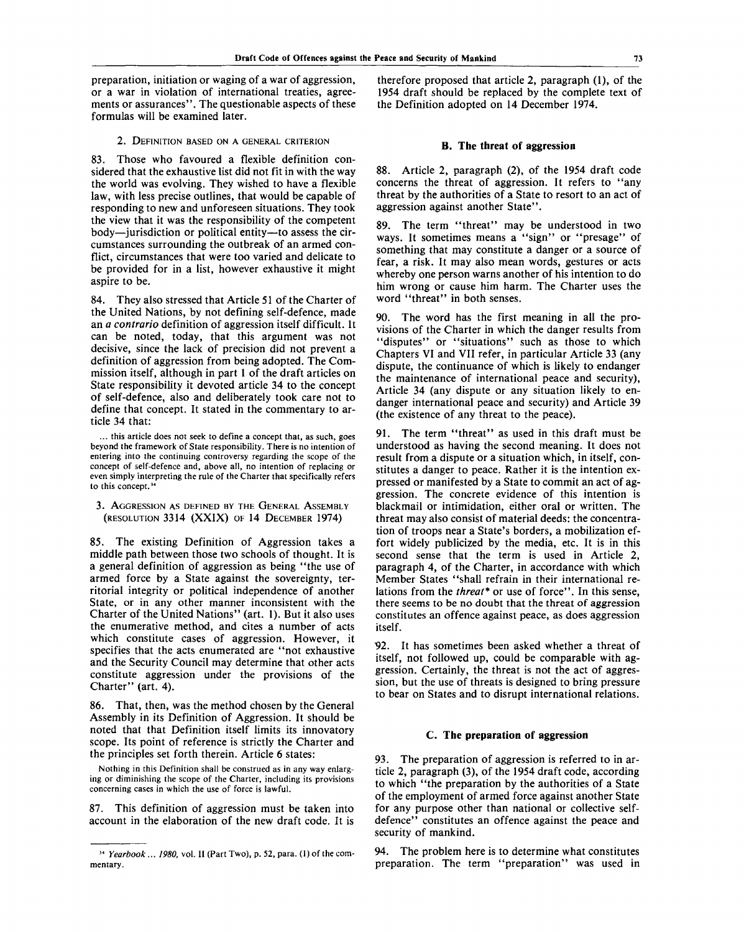preparation, initiation or waging of a war of aggression, or a war in violation of international treaties, agreements or assurances". The questionable aspects of these formulas will be examined later.

#### 2. DEFINITION BASED ON A GENERAL CRITERION

83. Those who favoured a flexible definition considered that the exhaustive list did not fit in with the way the world was evolving. They wished to have a flexible law, with less precise outlines, that would be capable of responding to new and unforeseen situations. They took the view that it was the responsibility of the competent body—jurisdiction or political entity—to assess the circumstances surrounding the outbreak of an armed conflict, circumstances that were too varied and delicate to be provided for in a list, however exhaustive it might aspire to be.

84. They also stressed that Article 51 of the Charter of the United Nations, by not defining self-defence, made an *a contrario* definition of aggression itself difficult. It can be noted, today, that this argument was not decisive, since the lack of precision did not prevent a definition of aggression from being adopted. The Commission itself, although in part 1 of the draft articles on State responsibility it devoted article 34 to the concept of self-defence, also and deliberately took care not to define that concept. It stated in the commentary to article 34 that:

... this article does not seek to define a concept that, as such, goes beyond the framework of State responsibility. There is no intention of entering into the continuing controversy regarding the scope of the concept of self-defence and, above all, no intention of replacing or even simply interpreting the rule of the Charter that specifically refers to this concept.<sup>34</sup>

3. AGGRESSION AS DEFINED BY THE GENERAL ASSEMBLY (RESOLUTION 3314 (XXIX) OF 14 DECEMBER 1974)

85. The existing Definition of Aggression takes a middle path between those two schools of thought. It is a general definition of aggression as being "the use of armed force by a State against the sovereignty, territorial integrity or political independence of another State, or in any other manner inconsistent with the Charter of the United Nations" (art. 1). But it also uses the enumerative method, and cites a number of acts which constitute cases of aggression. However, it specifies that the acts enumerated are "not exhaustive and the Security Council may determine that other acts constitute aggression under the provisions of the Charter" (art. 4).

86. That, then, was the method chosen by the General Assembly in its Definition of Aggression. It should be noted that that Definition itself limits its innovatory scope. Its point of reference is strictly the Charter and the principles set forth therein. Article 6 states:

Nothing in this Definition shall be construed as in any way enlarging or diminishing the scope of the Charter, including its provisions concerning cases in which the use of force is lawful.

87. This definition of aggression must be taken into account in the elaboration of the new draft code. It is

therefore proposed that article 2, paragraph (1), of the 1954 draft should be replaced by the complete text of the Definition adopted on 14 December 1974.

#### **B. The threat of aggression**

88. Article 2, paragraph (2), of the 1954 draft code concerns the threat of aggression. It refers to "any threat by the authorities of a State to resort to an act of aggression against another State".

89. The term "threat" may be understood in two ways. It sometimes means a "sign" or "presage" of something that may constitute a danger or a source of fear, a risk. It may also mean words, gestures or acts whereby one person warns another of his intention to do him wrong or cause him harm. The Charter uses the word "threat" in both senses.

90. The word has the first meaning in all the provisions of the Charter in which the danger results from "disputes" or "situations" such as those to which Chapters VI and VII refer, in particular Article 33 (any dispute, the continuance of which is likely to endanger the maintenance of international peace and security), Article 34 (any dispute or any situation likely to endanger international peace and security) and Article 39 (the existence of any threat to the peace).

91. The term "threat" as used in this draft must be understood as having the second meaning. It does not result from a dispute or a situation which, in itself, constitutes a danger to peace. Rather it is the intention expressed or manifested by a State to commit an act of aggression. The concrete evidence of this intention is blackmail or intimidation, either oral or written. The threat may also consist of material deeds: the concentration of troops near a State's borders, a mobilization effort widely publicized by the media, etc. It is in this second sense that the term is used in Article 2, paragraph 4, of the Charter, in accordance with which Member States "shall refrain in their international relations from the *threat\** or use of force". In this sense, there seems to be no doubt that the threat of aggression constitutes an offence against peace, as does aggression itself.

92. It has sometimes been asked whether a threat of itself, not followed up, could be comparable with aggression. Certainly, the threat is not the act of aggression, but the use of threats is designed to bring pressure to bear on States and to disrupt international relations.

#### C. **The preparation of aggression**

93. The preparation of aggression is referred to in article 2, paragraph (3), of the 1954 draft code, according to which "the preparation by the authorities of a State of the employment of armed force against another State for any purpose other than national or collective selfdefence" constitutes an offence against the peace and security of mankind.

94. The problem here is to determine what constitutes preparation. The term "preparation" was used in

<sup>34</sup>  *Yearbook... 1980,* vol. II (Part Two), p. 52, para. (1) of the commentary.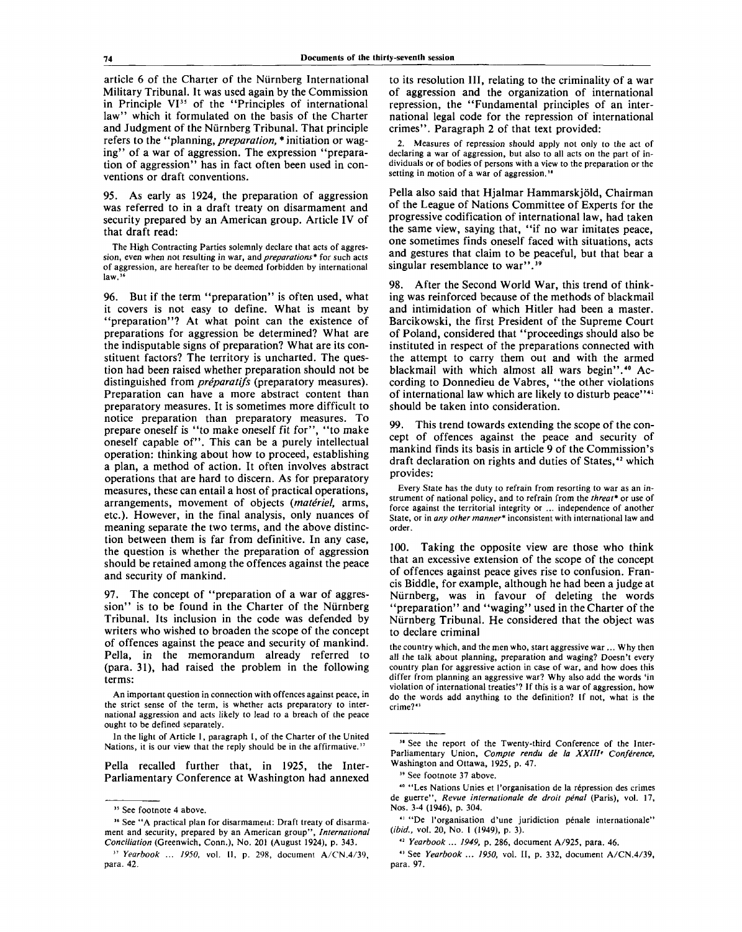article 6 of the Charter of the Niirnberg International Military Tribunal. It was used again by the Commission in Principle VI<sup>35</sup> of the "Principles of international law" which it formulated on the basis of the Charter and Judgment of the Niirnberg Tribunal. That principle refers to the "planning, *preparation, \** initiation or waging" of a war of aggression. The expression "preparation of aggression" has in fact often been used in conventions or draft conventions.

95. As early as 1924, the preparation of aggression was referred to in a draft treaty on disarmament and security prepared by an American group. Article IV of that draft read:

The High Contracting Parties solemnly declare that acts of aggression, even when not resulting in war, and *preparations\** for such acts of aggression, are hereafter to be deemed forbidden by international  $law.<sup>3</sup>$ 

96. But if the term "preparation" is often used, what it covers is not easy to define. What is meant by "preparation"? At what point can the existence of preparations for aggression be determined? What are the indisputable signs of preparation? What are its constituent factors? The territory is uncharted. The question had been raised whether preparation should not be distinguished from *preparatifs* (preparatory measures). Preparation can have a more abstract content than preparatory measures. It is sometimes more difficult to notice preparation than preparatory measures. To prepare oneself is "to make oneself fit for", "to make oneself capable of". This can be a purely intellectual operation: thinking about how to proceed, establishing a plan, a method of action. It often involves abstract operations that are hard to discern. As for preparatory measures, these can entail a host of practical operations, arrangements, movement of objects *{materiel,* arms, etc.). However, in the final analysis, only nuances of meaning separate the two terms, and the above distinction between them is far from definitive. In any case, the question is whether the preparation of aggression should be retained among the offences against the peace and security of mankind.

97. The concept of "preparation of a war of aggression" is to be found in the Charter of the Nürnberg Tribunal. Its inclusion in the code was defended by writers who wished to broaden the scope of the concept of offences against the peace and security of mankind. Pella, in the memorandum already referred to (para. 31), had raised the problem in the following terms:

An important question in connection with offences against peace, in the strict sense of the term, is whether acts preparatory to international aggression and acts likely to lead to a breach of the peace ought to be defined separately.

In the light of Article 1, paragraph 1, of the Charter of the United Nations, it is our view that the reply should be in the affirmative.<sup>3</sup>

Pella recalled further that, in 1925, the Inter-Parliamentary Conference at Washington had annexed to its resolution III, relating to the criminality of a war of aggression and the organization of international repression, the "Fundamental principles of an international legal code for the repression of international crimes". Paragraph 2 of that text provided:

Measures of repression should apply not only to the act of declaring a war of aggression, but also to all acts on the part of individuals or of bodies of persons with a view to the preparation or the setting in motion of a war of aggression.<sup>38</sup>

Pella also said that Hjalmar Hammarskjold, Chairman of the League of Nations Committee of Experts for the progressive codification of international law, had taken the same view, saying that, "if no war imitates peace, one sometimes finds oneself faced with situations, acts and gestures that claim to be peaceful, but that bear a singular resemblance to war".<sup>39</sup>

98. After the Second World War, this trend of thinking was reinforced because of the methods of blackmail and intimidation of which Hitler had been a master. Barcikowski, the first President of the Supreme Court of Poland, considered that "proceedings should also be instituted in respect of the preparations connected with the attempt to carry them out and with the armed blackmail with which almost all wars begin".<sup>40</sup> According to Donnedieu de Vabres, "the other violations of international law which are likely to disturb peace"<sup>41</sup> should be taken into consideration.

99. This trend towards extending the scope of the concept of offences against the peace and security of mankind finds its basis in article 9 of the Commission's draft declaration on rights and duties of States,<sup>42</sup> which provides:

Every State has the duty to refrain from resorting to war as an instrument of national policy, and to refrain from the *threat\** or use of force against the territorial integrity or ... independence of another State, or in *any other manner\** inconsistent with international law and order.

100. Taking the opposite view are those who think that an excessive extension of the scope of the concept of offences against peace gives rise to confusion. Francis Biddle, for example, although he had been a judge at Niirnberg, was in favour of deleting the words "preparation" and "waging" used in the Charter of the Niirnberg Tribunal. He considered that the object was to declare criminal

the country which, and the men who, start aggressive war ... Why then all the talk about planning, preparation and waging? Doesn't every country plan for aggressive action in case of war, and how does this differ from planning an aggressive war? Why also add the words 'in violation of international treaties'? If this is a war of aggression, how do the words add anything to the definition? If not, what is the crime?<sup>43</sup>

<sup>&</sup>lt;sup>35</sup> See footnote 4 above.

<sup>&</sup>lt;sup>36</sup> See "A practical plan for disarmament: Draft treaty of disarmament and security, prepared by an American group", *International Conciliation* (Greenwich, Conn.), No. 201 (August 1924), p. 343.

<sup>57</sup>  *Yearbook ... 1950,* vol. II, p. 298, document A/CN.4/39, para. 42.

<sup>&</sup>lt;sup>36</sup> See the report of the Twenty-third Conference of the Inter-Parliamentary Union, *Compte rendu de la XXIII' Conference,* Washington and Ottawa, 1925, p. 47.

<sup>39</sup> See footnote 37 above.

<sup>40</sup> "Les Nations Unies et l'organisation de la repression des crimes de guerre", Revue internationale de droit pénal (Paris), vol. 17, Nos. 3-4 (1946), p. 304.

<sup>&</sup>lt;sup>41</sup> "De l'organisation d'une juridiction pénale internationale" *(ibid.,* vol. 20, No. 1 (1949), p. 3).

<sup>42</sup>  *Yearbook ... 1949,* p. 286, document A/925, para. 46.

<sup>43</sup> See *Yearbook ... 1950,* vol. II, p. 332, document A/CN.4/39, para. 97.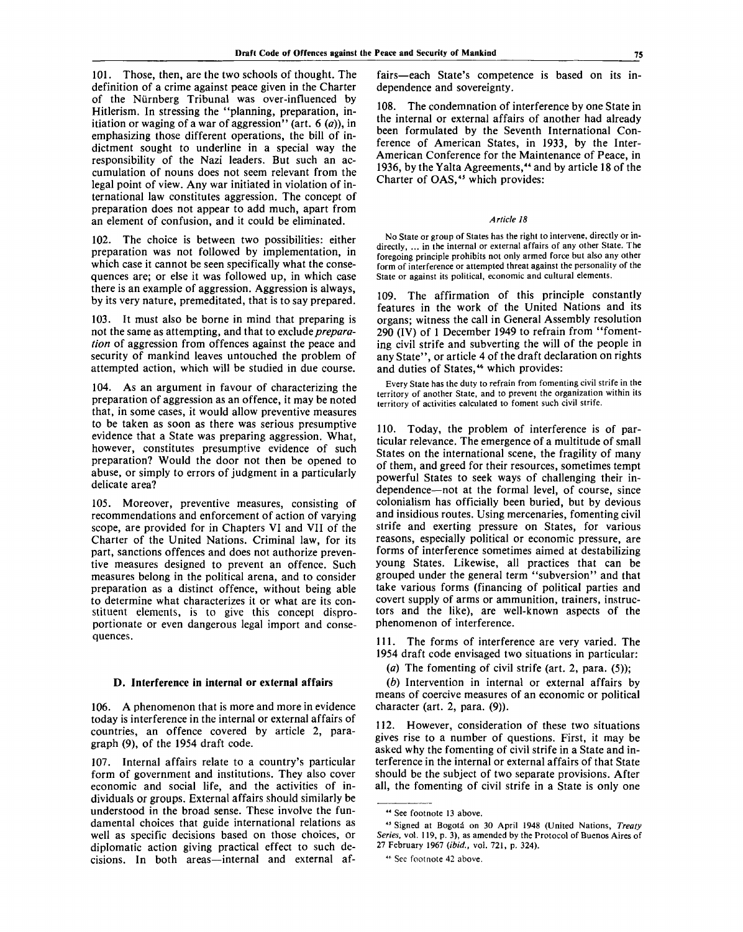101. Those, then, are the two schools of thought. The definition of a crime against peace given in the Charter of the Niirnberg Tribunal was over-influenced by Hitlerism. In stressing the "planning, preparation, initiation or waging of a war of aggression" (art. 6 *(a)),* in emphasizing those different operations, the bill of indictment sought to underline in a special way the responsibility of the Nazi leaders. But such an accumulation of nouns does not seem relevant from the legal point of view. Any war initiated in violation of international law constitutes aggression. The concept of preparation does not appear to add much, apart from an element of confusion, and it could be eliminated.

102. The choice is between two possibilities: either preparation was not followed by implementation, in which case it cannot be seen specifically what the consequences are; or else it was followed up, in which case there is an example of aggression. Aggression is always, by its very nature, premeditated, that is to say prepared.

103. It must also be borne in mind that preparing is not the same as attempting, and that to exclude *preparation* of aggression from offences against the peace and security of mankind leaves untouched the problem of attempted action, which will be studied in due course.

104. As an argument in favour of characterizing the preparation of aggression as an offence, it may be noted that, in some cases, it would allow preventive measures to be taken as soon as there was serious presumptive evidence that a State was preparing aggression. What, however, constitutes presumptive evidence of such preparation? Would the door not then be opened to abuse, or simply to errors of judgment in a particularly delicate area?

105. Moreover, preventive measures, consisting of recommendations and enforcement of action of varying scope, are provided for in Chapters VI and VII of the Charter of the United Nations. Criminal law, for its part, sanctions offences and does not authorize preventive measures designed to prevent an offence. Such measures belong in the political arena, and to consider preparation as a distinct offence, without being able to determine what characterizes it or what are its constituent elements, is to give this concept disproportionate or even dangerous legal import and consequences.

#### **D. Interference in internal or external affairs**

106. A phenomenon that is more and more in evidence today is interference in the internal or external affairs of countries, an offence covered by article 2, paragraph (9), of the 1954 draft code.

107. Internal affairs relate to a country's particular form of government and institutions. They also cover economic and social life, and the activities of individuals or groups. External affairs should similarly be understood in the broad sense. These involve the fundamental choices that guide international relations as well as specific decisions based on those choices, or diplomatic action giving practical effect to such decisions. In both areas—internal and external af-

fairs—each State's competence is based on its independence and sovereignty.

108. The condemnation of interference by one State in the internal or external affairs of another had already been formulated by the Seventh International Conference of American States, in 1933, by the Inter-American Conference for the Maintenance of Peace, in 1936, by the Yalta Agreements,<sup>44</sup> and by article 18 of the Charter of OAS,<sup>45</sup> which provides:

#### *Article 18*

No State or group of States has the right to intervene, directly or indirectly, ... in the internal or external affairs of any other State. The foregoing principle prohibits not only armed force but also any other form of interference or attempted threat against the personality of the State or against its political, economic and cultural elements.

109. The affirmation of this principle constantly features in the work of the United Nations and its organs; witness the call in General Assembly resolution 290 (IV) of 1 December 1949 to refrain from "fomenting civil strife and subverting the will of the people in any State", or article 4 of the draft declaration on rights and duties of States,<sup>46</sup> which provides:

Every State has the duty to refrain from fomenting civil strife in the territory of another State, and to prevent the organization within its territory of activities calculated to foment such civil strife.

110. Today, the problem of interference is of particular relevance. The emergence of a multitude of small States on the international scene, the fragility of many of them, and greed for their resources, sometimes tempt powerful States to seek ways of challenging their independence—not at the formal level, of course, since colonialism has officially been buried, but by devious and insidious routes. Using mercenaries, fomenting civil strife and exerting pressure on States, for various reasons, especially political or economic pressure, are forms of interference sometimes aimed at destabilizing young States. Likewise, all practices that can be grouped under the general term "subversion" and that take various forms (financing of political parties and covert supply of arms or ammunition, trainers, instructors and the like), are well-known aspects of the phenomenon of interference.

111. The forms of interference are very varied. The 1954 draft code envisaged two situations in particular:

*(a)* The fomenting of civil strife (art. 2, para. (5));

*(b)* Intervention in internal or external affairs by means of coercive measures of an economic or political character (art. 2, para. (9)).

112. However, consideration of these two situations gives rise to a number of questions. First, it may be asked why the fomenting of civil strife in a State and interference in the internal or external affairs of that State should be the subject of two separate provisions. After all, the fomenting of civil strife in a State is only one

<sup>44</sup> See footnote 13 above.

<sup>45</sup> Signed at Bogota on 30 April 1948 (United Nations, *Treaty Series,* vol. 119, p. 3), as amended by the Protocol of Buenos Aires of 27 February 1967 *(ibid.,* vol. 721, p. 324).

<sup>46</sup> See footnote 42 above.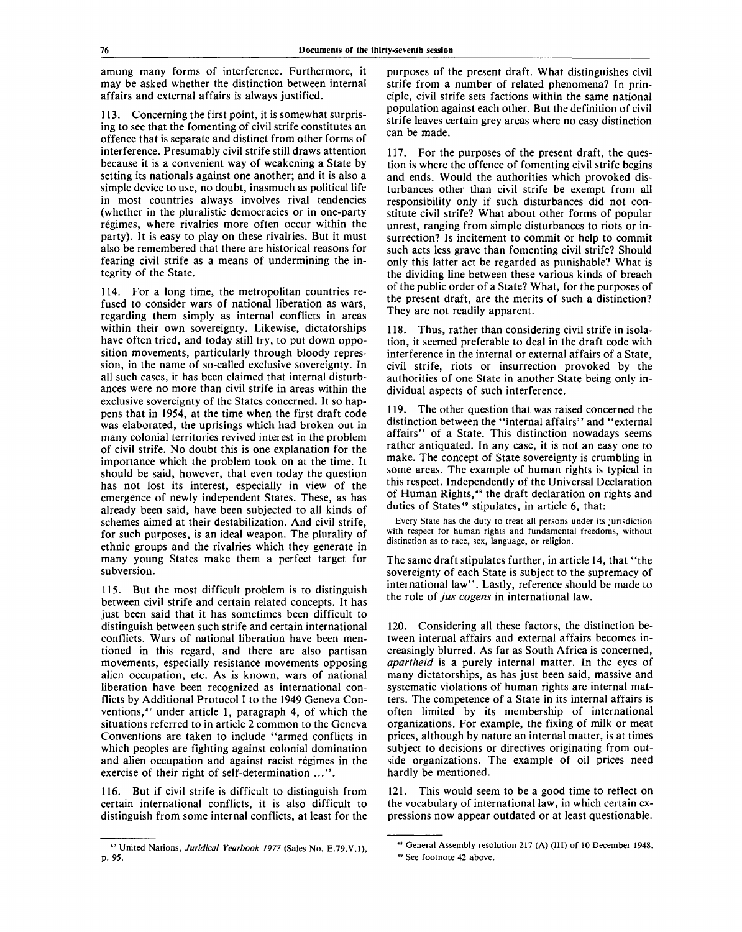among many forms of interference. Furthermore, it may be asked whether the distinction between internal affairs and external affairs is always justified.

113. Concerning the first point, it is somewhat surprising to see that the fomenting of civil strife constitutes an offence that is separate and distinct from other forms of interference. Presumably civil strife still draws attention because it is a convenient way of weakening a State by setting its nationals against one another; and it is also a simple device to use, no doubt, inasmuch as political life in most countries always involves rival tendencies (whether in the pluralistic democracies or in one-party régimes, where rivalries more often occur within the party). It is easy to play on these rivalries. But it must also be remembered that there are historical reasons for fearing civil strife as a means of undermining the integrity of the State.

114. For a long time, the metropolitan countries refused to consider wars of national liberation as wars, regarding them simply as internal conflicts in areas within their own sovereignty. Likewise, dictatorships have often tried, and today still try, to put down opposition movements, particularly through bloody repression, in the name of so-called exclusive sovereignty. In all such cases, it has been claimed that internal disturbances were no more than civil strife in areas within the exclusive sovereignty of the States concerned. It so happens that in 1954, at the time when the first draft code was elaborated, the uprisings which had broken out in many colonial territories revived interest in the problem of civil strife. No doubt this is one explanation for the importance which the problem took on at the time. It should be said, however, that even today the question has not lost its interest, especially in view of the emergence of newly independent States. These, as has already been said, have been subjected to all kinds of schemes aimed at their destabilization. And civil strife, for such purposes, is an ideal weapon. The plurality of ethnic groups and the rivalries which they generate in many young States make them a perfect target for subversion.

115. But the most difficult problem is to distinguish between civil strife and certain related concepts. It has just been said that it has sometimes been difficult to distinguish between such strife and certain international conflicts. Wars of national liberation have been mentioned in this regard, and there are also partisan movements, especially resistance movements opposing alien occupation, etc. As is known, wars of national liberation have been recognized as international conflicts by Additional Protocol I to the 1949 Geneva Conventions,<sup>47</sup> under article 1, paragraph 4, of which the situations referred to in article 2 common to the Geneva Conventions are taken to include "armed conflicts in which peoples are fighting against colonial domination and alien occupation and against racist regimes in the exercise of their right of self-determination ...".

116. But if civil strife is difficult to distinguish from certain international conflicts, it is also difficult to distinguish from some internal conflicts, at least for the

purposes of the present draft. What distinguishes civil strife from a number of related phenomena? In principle, civil strife sets factions within the same national population against each other. But the definition of civil strife leaves certain grey areas where no easy distinction can be made.

117. For the purposes of the present draft, the question is where the offence of fomenting civil strife begins and ends. Would the authorities which provoked disturbances other than civil strife be exempt from all responsibility only if such disturbances did not constitute civil strife? What about other forms of popular unrest, ranging from simple disturbances to riots or insurrection? Is incitement to commit or help to commit such acts less grave than fomenting civil strife? Should only this latter act be regarded as punishable? What is the dividing line between these various kinds of breach of the public order of a State? What, for the purposes of the present draft, are the merits of such a distinction? They are not readily apparent.

118. Thus, rather than considering civil strife in isolation, it seemed preferable to deal in the draft code with interference in the internal or external affairs of a State, civil strife, riots or insurrection provoked by the authorities of one State in another State being only individual aspects of such interference.

119. The other question that was raised concerned the distinction between the "internal affairs" and "external affairs" of a State. This distinction nowadays seems rather antiquated. In any case, it is not an easy one to make. The concept of State sovereignty is crumbling in some areas. The example of human rights is typical in this respect. Independently of the Universal Declaration of Human Rights,<sup>48</sup> the draft declaration on rights and duties of States<sup>49</sup> stipulates, in article 6, that:

Every State has the duty to treat all persons under its jurisdiction with respect for human rights and fundamental freedoms, without distinction as to race, sex, language, or religion.

The same draft stipulates further, in article 14, that "the sovereignty of each State is subject to the supremacy of international law". Lastly, reference should be made to the role of *jus cogens* in international law.

120. Considering all these factors, the distinction between internal affairs and external affairs becomes increasingly blurred. As far as South Africa is concerned, *apartheid* is a purely internal matter. In the eyes of many dictatorships, as has just been said, massive and systematic violations of human rights are internal matters. The competence of a State in its internal affairs is often limited by its membership of international organizations. For example, the fixing of milk or meat prices, although by nature an internal matter, is at times subject to decisions or directives originating from outside organizations. The example of oil prices need hardly be mentioned.

121. This would seem to be a good time to reflect on the vocabulary of international law, in which certain expressions now appear outdated or at least questionable.

<sup>47</sup> United Nations, *Juridical Yearbook 1977* (Sales No. E.79.V.1), p. 95.

<sup>48</sup> General Assembly resolution 217 (A) (III) of 10 December 1948. 49 See footnote 42 above.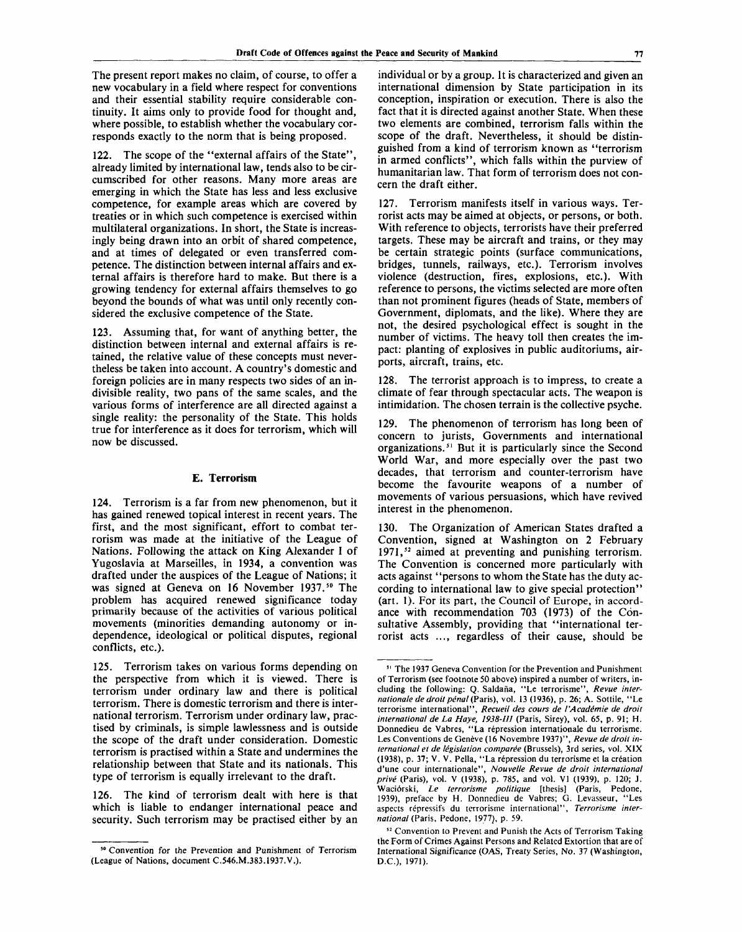The present report makes no claim, of course, to offer a new vocabulary in a field where respect for conventions and their essential stability require considerable continuity. It aims only to provide food for thought and, where possible, to establish whether the vocabulary corresponds exactly to the norm that is being proposed.

122. The scope of the "external affairs of the State", already limited by international law, tends also to be circumscribed for other reasons. Many more areas are emerging in which the State has less and less exclusive competence, for example areas which are covered by treaties or in which such competence is exercised within multilateral organizations. In short, the State is increasingly being drawn into an orbit of shared competence, and at times of delegated or even transferred competence. The distinction between internal affairs and external affairs is therefore hard to make. But there is a growing tendency for external affairs themselves to go beyond the bounds of what was until only recently considered the exclusive competence of the State.

123. Assuming that, for want of anything better, the distinction between internal and external affairs is retained, the relative value of these concepts must nevertheless be taken into account. A country's domestic and foreign policies are in many respects two sides of an indivisible reality, two pans of the same scales, and the various forms of interference are all directed against a single reality: the personality of the State. This holds true for interference as it does for terrorism, which will now be discussed.

#### **E. Terrorism**

124. Terrorism is a far from new phenomenon, but it has gained renewed topical interest in recent years. The first, and the most significant, effort to combat terrorism was made at the initiative of the League of Nations. Following the attack on King Alexander I of Yugoslavia at Marseilles, in 1934, a convention was drafted under the auspices of the League of Nations; it was signed at Geneva on 16 November 1937.<sup>50</sup> The problem has acquired renewed significance today primarily because of the activities of various political movements (minorities demanding autonomy or independence, ideological or political disputes, regional conflicts, etc.).

125. Terrorism takes on various forms depending on the perspective from which it is viewed. There is terrorism under ordinary law and there is political terrorism. There is domestic terrorism and there is international terrorism. Terrorism under ordinary law, practised by criminals, is simple lawlessness and is outside the scope of the draft under consideration. Domestic terrorism is practised within a State and undermines the relationship between that State and its nationals. This type of terrorism is equally irrelevant to the draft.

126. The kind of terrorism dealt with here is that which is liable to endanger international peace and security. Such terrorism may be practised either by an

individual or by a group. It is characterized and given an international dimension by State participation in its conception, inspiration or execution. There is also the fact that it is directed against another State. When these two elements are combined, terrorism falls within the scope of the draft. Nevertheless, it should be distinguished from a kind of terrorism known as "terrorism in armed conflicts", which falls within the purview of humanitarian law. That form of terrorism does not concern the draft either.

127. Terrorism manifests itself in various ways. Terrorist acts may be aimed at objects, or persons, or both. With reference to objects, terrorists have their preferred targets. These may be aircraft and trains, or they may be certain strategic points (surface communications, bridges, tunnels, railways, etc.). Terrorism involves violence (destruction, fires, explosions, etc.). With reference to persons, the victims selected are more often than not prominent figures (heads of State, members of Government, diplomats, and the like). Where they are not, the desired psychological effect is sought in the number of victims. The heavy toll then creates the impact: planting of explosives in public auditoriums, airports, aircraft, trains, etc.

128. The terrorist approach is to impress, to create a climate of fear through spectacular acts. The weapon is intimidation. The chosen terrain is the collective psyche.

129. The phenomenon of terrorism has long been of concern to jurists, Governments and international organizations.<sup>51</sup> But it is particularly since the Second World War, and more especially over the past two decades, that terrorism and counter-terrorism have become the favourite weapons of a number of movements of various persuasions, which have revived interest in the phenomenon.

130. The Organization of American States drafted a Convention, signed at Washington on 2 February 1971,<sup>52</sup> aimed at preventing and punishing terrorism. The Convention is concerned more particularly with acts against "persons to whom the State has the duty according to international law to give special protection" (art. 1). For its part, the Council of Europe, in accordance with recommendation 703 (1973) of the Consultative Assembly, providing that "international terrorist acts ..., regardless of their cause, should be

<sup>&</sup>lt;sup>50</sup> Convention for the Prevention and Punishment of Terrorism (League of Nations, document C.546.M.383.1937.V.).

<sup>51</sup> The 1937 Geneva Convention for the Prevention and Punishment of Terrorism (see footnote 50 above) inspired a number of writers, including the following: Q. Saldafia, "Le terrorisme", *Revue internationale de droit pénal* (Paris), vol. 13 (1936), p. 26; A. Sottile, "Le terrorisme international", *Recueil des cours de I'Acadimie de droit international de La Haye, 1938-III* (Paris, Sirey), vol. 65, p. 91; H. Donnedieu de Vabres, "La repression internationale du terrorisme. Les Conventions de Genève (16 Novembre 1937)", Revue de droit in*ternational et de legislation comparee* (Brussels), 3rd series, vol. XIX (1938), p. 37; V. V. Pella, "La repression du terrorisme et la creation d'une cour internationale", *Nouvelle Revue de droit international prive* (Paris), vol. V (1938), p. 785, and vol. VI (1939), p. 120; J. Wacibrski, *Le terrorisme politique* [thesis] (Paris, Pedone. 1939), preface by H. Donnedieu de Vabres; G. Levasseur, "Les aspects repressifs du terrorisme international", *Terrorisme international* (Paris, Pedone, 1977), p. 59.

<sup>&</sup>lt;sup>52</sup> Convention to Prevent and Punish the Acts of Terrorism Taking the Form of Crimes Against Persons and Related Extortion that are of International Significance (OAS, Treaty Series, No. 37 (Washington, D.C.), 1971).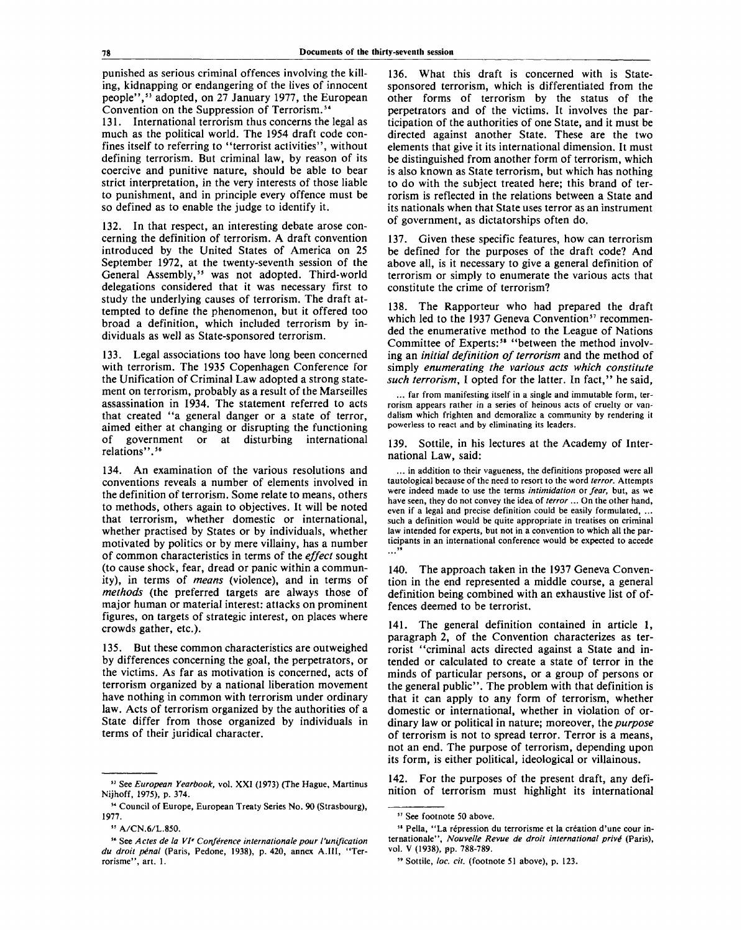punished as serious criminal offences involving the killing, kidnapping or endangering of the lives of innocent people",<sup>53</sup> adopted, on 27 January 1977, the European Convention on the Suppression of Terrorism.<sup>54</sup>

131. International terrorism thus concerns the legal as much as the political world. The 1954 draft code confines itself to referring to "terrorist activities", without defining terrorism. But criminal law, by reason of its coercive and punitive nature, should be able to bear strict interpretation, in the very interests of those liable to punishment, and in principle every offence must be so defined as to enable the judge to identify it.

132. In that respect, an interesting debate arose concerning the definition of terrorism. A draft convention introduced by the United States of America on 25 September 1972, at the twenty-seventh session of the General Assembly,<sup>55</sup> was not adopted. Third-world delegations considered that it was necessary first to study the underlying causes of terrorism. The draft attempted to define the phenomenon, but it offered too broad a definition, which included terrorism by individuals as well as State-sponsored terrorism.

133. Legal associations too have long been concerned with terrorism. The 1935 Copenhagen Conference for the Unification of Criminal Law adopted a strong statement on terrorism, probably as a result of the Marseilles assassination in 1934. The statement referred to acts that created "a general danger or a state of terror, aimed either at changing or disrupting the functioning of government or at disturbing international relations".<sup>56</sup>

134. An examination of the various resolutions and conventions reveals a number of elements involved in the definition of terrorism. Some relate to means, others to methods, others again to objectives. It will be noted that terrorism, whether domestic or international, whether practised by States or by individuals, whether motivated by politics or by mere villainy, has a number of common characteristics in terms of the *effect* sought (to cause shock, fear, dread or panic within a community), in terms of *means* (violence), and in terms of *methods* (the preferred targets are always those of major human or material interest: attacks on prominent figures, on targets of strategic interest, on places where crowds gather, etc.).

135. But these common characteristics are outweighed by differences concerning the goal, the perpetrators, or the victims. As far as motivation is concerned, acts of terrorism organized by a national liberation movement have nothing in common with terrorism under ordinary law. Acts of terrorism organized by the authorities of a State differ from those organized by individuals in terms of their juridical character.

136. What this draft is concerned with is Statesponsored terrorism, which is differentiated from the other forms of terrorism by the status of the perpetrators and of the victims. It involves the participation of the authorities of one State, and it must be directed against another State. These are the two elements that give it its international dimension. It must be distinguished from another form of terrorism, which is also known as State terrorism, but which has nothing to do with the subject treated here; this brand of terrorism is reflected in the relations between a State and its nationals when that State uses terror as an instrument of government, as dictatorships often do.

137. Given these specific features, how can terrorism be defined for the purposes of the draft code? And above all, is it necessary to give a general definition of terrorism or simply to enumerate the various acts that constitute the crime of terrorism?

138. The Rapporteur who had prepared the draft which led to the 1937 Geneva Convention<sup>57</sup> recommended the enumerative method to the League of Nations Committee of Experts:<sup>58</sup> "between the method involving an *initial definition of terrorism* and the method of simply *enumerating the various acts which constitute such terrorism*, I opted for the latter. In fact," he said,

... far from manifesting itself in a single and immutable form, terrorism appears rather in a series of heinous acts of cruelty or vandalism which frighten and demoralize a community by rendering it powerless to react and by eliminating its leaders.

139. Sottile, in his lectures at the Academy of International Law, said:

... in addition to their vagueness, the definitions proposed were all tautological because of the need to resort to the word *terror.* Attempts were indeed made to use the terms *intimidation* or *fear,* but, as we have seen, they do not convey the idea of *terror* ... On the other hand, even if a legal and precise definition could be easily formulated, ... such a definition would be quite appropriate in treatises on criminal law intended for experts, but not in a convention to which all the participants in an international conference would be expected to accede  $\cdots$ <sup>59</sup>

140. The approach taken in the 1937 Geneva Convention in the end represented a middle course, a general definition being combined with an exhaustive list of offences deemed to be terrorist.

141. The general definition contained in article 1, paragraph 2, of the Convention characterizes as terrorist "criminal acts directed against a State and intended or calculated to create a state of terror in the minds of particular persons, or a group of persons or the general public". The problem with that definition is that it can apply to any form of terrorism, whether domestic or international, whether in violation of ordinary law or political in nature; moreover, the *purpose* of terrorism is not to spread terror. Terror is a means, not an end. The purpose of terrorism, depending upon its form, is either political, ideological or villainous.

142. For the purposes of the present draft, any definition of terrorism must highlight its international

<sup>53</sup> See *European Yearbook,* vol. XXI (1973) (The Hague, Martinus Nijhoff, 1975), p. 374.

<sup>54</sup> Council of Europe, European Treaty Series No. 90 (Strasbourg), 1977.

<sup>33</sup> A/CN.6/L.850.

<sup>56</sup> See *Actes de la VI' Conference Internationale pour I'unification du droit p6nal* (Paris, Pedone, 1938), p. 420, annex A.I1I, "Terrorisme", art. 1.

<sup>37</sup> See footnote 50 above.

<sup>&</sup>lt;sup>35</sup> Pella, "La répression du terrorisme et la création d'une cour internationale", *Nouvelle Revue de droit international prive"* (Paris), vol. V (1938), pp. 788-789.

<sup>&</sup>quot; Sottile, *loc. cit.* (footnote 51 above), p. 123.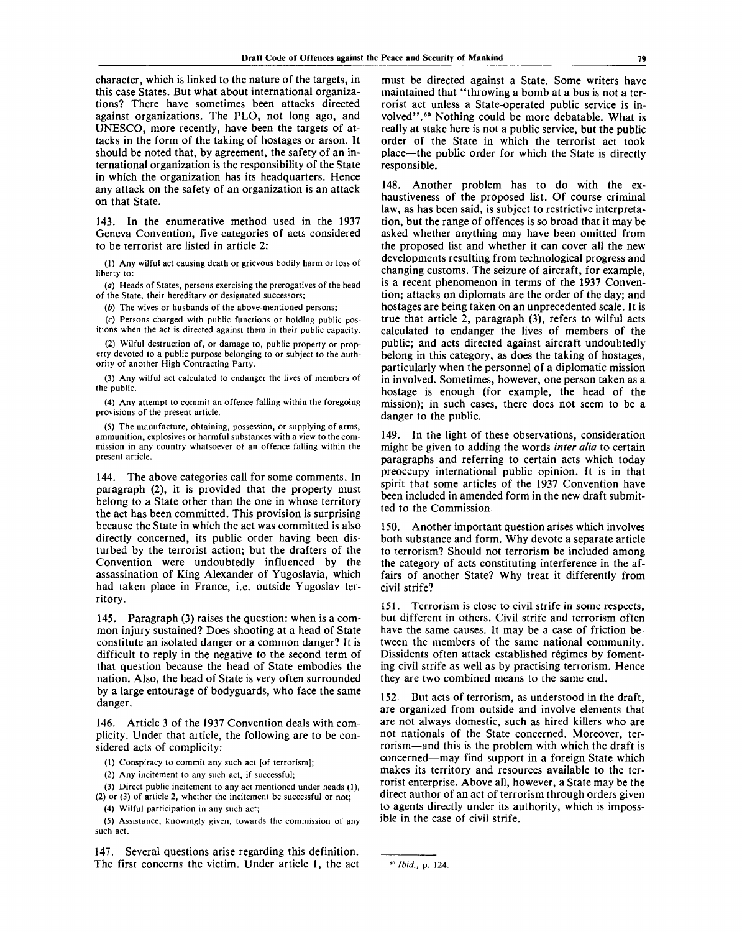character, which is linked to the nature of the targets, in this case States. But what about international organizations? There have sometimes been attacks directed against organizations. The PLO, not long ago, and UNESCO, more recently, have been the targets of attacks in the form of the taking of hostages or arson. It should be noted that, by agreement, the safety of an international organization is the responsibility of the State in which the organization has its headquarters. Hence any attack on the safety of an organization is an attack on that State.

143. In the enumerative method used in the 1937 Geneva Convention, five categories of acts considered to be terrorist are listed in article 2:

(1) Any wilful act causing death or grievous bodily harm or loss of liberty to:

(a) Heads of States, persons exercising the prerogatives of the head of the State, their hereditary or designated successors;

*(b)* The wives or husbands of the above-mentioned persons;

(c) Persons charged with public functions or holding public positions when the act is directed against them in their public capacity.

(2) Wilful destruction of, or damage to, public property or property devoted to a public purpose belonging to or subject to the authority of another High Contracting Party.

(3) Any wilful act calculated to endanger the lives of members of the public.

(4) Any attempt to commit an offence falling within the foregoing provisions of the present article.

(5) The manufacture, obtaining, possession, or supplying of arms, ammunition, explosives or harmful substances with a view to the commission in any country whatsoever of an offence falling within the present article.

144. The above categories call for some comments. In paragraph (2), it is provided that the property must belong to a State other than the one in whose territory the act has been committed. This provision is surprising because the State in which the act was committed is also directly concerned, its public order having been disturbed by the terrorist action; but the drafters of the Convention were undoubtedly influenced by the assassination of King Alexander of Yugoslavia, which had taken place in France, i.e. outside Yugoslav territory.

145. Paragraph (3) raises the question: when is a common injury sustained? Does shooting at a head of State constitute an isolated danger or a common danger? It is difficult to reply in the negative to the second term of that question because the head of State embodies the nation. Also, the head of State is very often surrounded by a large entourage of bodyguards, who face the same danger.

146. Article 3 of the 1937 Convention deals with complicity. Under that article, the following are to be considered acts of complicity:

(1) Conspiracy to commit any such act [of terrorism];

(2) Any incitement to any such act, if successful;

(3) Direct public incitement to any act mentioned under heads (1), (2) or (3) of article 2, whether the incitement be successful or not;

(4) Wilful participation in any such act;

(5) Assistance, knowingly given, towards the commission of any such act.

147. Several questions arise regarding this definition. The first concerns the victim. Under article 1, the act must be directed against a State. Some writers have maintained that "throwing a bomb at a bus is not a terrorist act unless a State-operated public service is involved".<sup>60</sup> Nothing could be more debatable. What is really at stake here is not a public service, but the public order of the State in which the terrorist act took place—the public order for which the State is directly responsible.

148. Another problem has to do with the exhaustiveness of the proposed list. Of course criminal law, as has been said, is subject to restrictive interpretation, but the range of offences is so broad that it may be asked whether anything may have been omitted from the proposed list and whether it can cover all the new developments resulting from technological progress and changing customs. The seizure of aircraft, for example, is a recent phenomenon in terms of the 1937 Convention; attacks on diplomats are the order of the day; and hostages are being taken on an unprecedented scale. It is true that article 2, paragraph (3), refers to wilful acts calculated to endanger the lives of members of the public; and acts directed against aircraft undoubtedly belong in this category, as does the taking of hostages, particularly when the personnel of a diplomatic mission in involved. Sometimes, however, one person taken as a hostage is enough (for example, the head of the mission); in such cases, there does not seem to be a danger to the public.

149. In the light of these observations, consideration might be given to adding the words *inter alia* to certain paragraphs and referring to certain acts which today preoccupy international public opinion. It is in that spirit that some articles of the 1937 Convention have been included in amended form in the new draft submitted to the Commission.

150. Another important question arises which involves both substance and form. Why devote a separate article to terrorism? Should not terrorism be included among the category of acts constituting interference in the affairs of another State? Why treat it differently from civil strife?

151. Terrorism is close to civil strife in some respects, but different in others. Civil strife and terrorism often have the same causes. It may be a case of friction between the members of the same national community. Dissidents often attack established régimes by fomenting civil strife as well as by practising terrorism. Hence they are two combined means to the same end.

152. But acts of terrorism, as understood in the draft, are organized from outside and involve elements that are not always domestic, such as hired killers who are not nationals of the State concerned. Moreover, terrorism—and this is the problem with which the draft is concerned—may find support in a foreign State which makes its territory and resources available to the terrorist enterprise. Above all, however, a State may be the direct author of an act of terrorism through orders given to agents directly under its authority, which is impossible in the case of civil strife.

*Ibid.,* p. 124.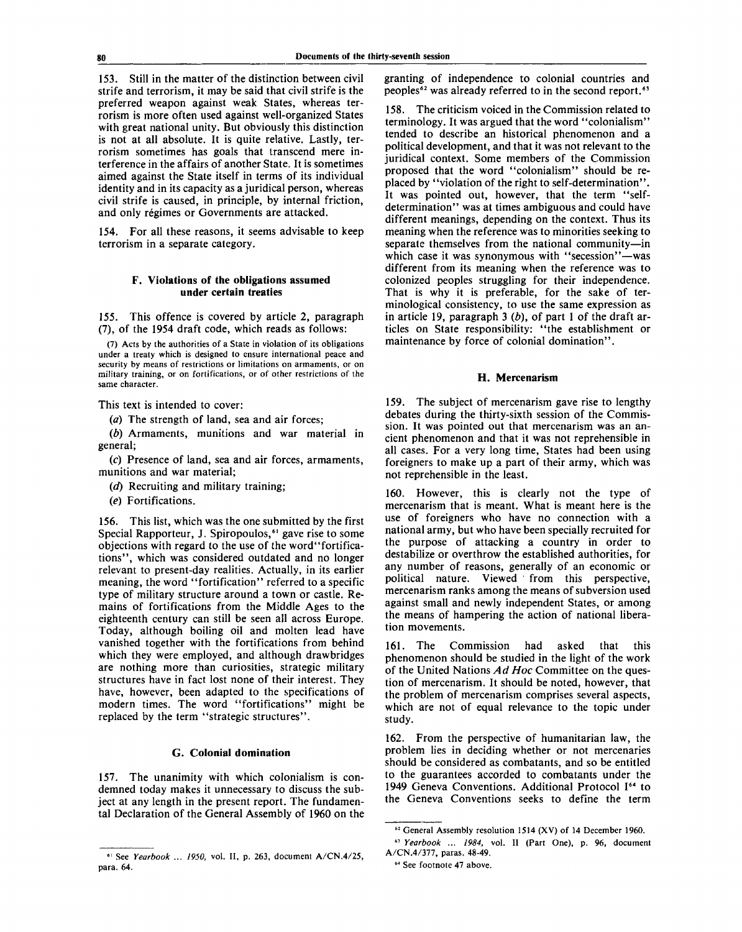153. Still in the matter of the distinction between civil strife and terrorism, it may be said that civil strife is the preferred weapon against weak States, whereas terrorism is more often used against well-organized States with great national unity. But obviously this distinction is not at all absolute. It is quite relative. Lastly, terrorism sometimes has goals that transcend mere interference in the affairs of another State. It is sometimes aimed against the State itself in terms of its individual identity and in its capacity as a juridical person, whereas civil strife is caused, in principle, by internal friction, and only régimes or Governments are attacked.

154. For all these reasons, it seems advisable to keep terrorism in a separate category.

## **F. Violations of the obligations assumed under certain treaties**

155. This offence is covered by article 2, paragraph (7), of the 1954 draft code, which reads as follows:

(7) Acts by the authorities of a State in violation of its obligations under a treaty which is designed to ensure international peace and security by means of restrictions or limitations on armaments, or on military training, or on fortifications, or of other restrictions of the same character.

This text is intended to cover:

(*a*) The strength of land, sea and air forces;

*(b)* Armaments, munitions and war material in general;

(c) Presence of land, sea and air forces, armaments, munitions and war material;

*(d)* Recruiting and military training;

*(e)* Fortifications.

156. This list, which was the one submitted by the first Special Rapporteur, J. Spiropoulos,<sup>61</sup> gave rise to some objections with regard to the use of the word"fortifications", which was considered outdated and no longer relevant to present-day realities. Actually, in its earlier meaning, the word "fortification" referred to a specific type of military structure around a town or castle. Remains of fortifications from the Middle Ages to the eighteenth century can still be seen all across Europe. Today, although boiling oil and molten lead have vanished together with the fortifications from behind which they were employed, and although drawbridges are nothing more than curiosities, strategic military structures have in fact lost none of their interest. They have, however, been adapted to the specifications of modern times. The word "fortifications" might be replaced by the term "strategic structures".

## **G. Colonial domination**

157. The unanimity with which colonialism is condemned today makes it unnecessary to discuss the subject at any length in the present report. The fundamental Declaration of the General Assembly of 1960 on the granting of independence to colonial countries and peoples<sup>62</sup> was already referred to in the second report.<sup>63</sup>

158. The criticism voiced in the Commission related to terminology. It was argued that the word "colonialism" tended to describe an historical phenomenon and a political development, and that it was not relevant to the juridical context. Some members of the Commission proposed that the word "colonialism" should be replaced by "violation of the right to self-determination". It was pointed out, however, that the term "selfdetermination" was at times ambiguous and could have different meanings, depending on the context. Thus its meaning when the reference was to minorities seeking to separate themselves from the national community—in which case it was synonymous with "secession"—was different from its meaning when the reference was to colonized peoples struggling for their independence. That is why it is preferable, for the sake of terminological consistency, to use the same expression as in article 19, paragraph 3 *(b),* of part 1 of the draft articles on State responsibility: "the establishment or maintenance by force of colonial domination".

#### **H. Mercenarism**

159. The subject of mercenarism gave rise to lengthy debates during the thirty-sixth session of the Commission. It was pointed out that mercenarism was an ancient phenomenon and that it was not reprehensible in all cases. For a very long time, States had been using foreigners to make up a part of their army, which was not reprehensible in the least.

160. However, this is clearly not the type of mercenarism that is meant. What is meant here is the use of foreigners who have no connection with a national army, but who have been specially recruited for the purpose of attacking a country in order to destabilize or overthrow the established authorities, for any number of reasons, generally of an economic or political nature. Viewed from this perspective, mercenarism ranks among the means of subversion used against small and newly independent States, or among the means of hampering the action of national liberation movements.

161. The Commission had asked that this phenomenon should be studied in the light of the work of the United Nations *Ad Hoc* Committee on the question of mercenarism. It should be noted, however, that the problem of mercenarism comprises several aspects, which are not of equal relevance to the topic under study.

162. From the perspective of humanitarian law, the problem lies in deciding whether or not mercenaries should be considered as combatants, and so be entitled to the guarantees accorded to combatants under the 1949 Geneva Conventions. Additional Protocol I<sup>64</sup> to the Geneva Conventions seeks to define the term

<sup>61</sup> See *Yearbook ... 1950,* vol. II, p. 263, document A/CN.4/25, para. 64.

<sup>&</sup>lt;sup>62</sup> General Assembly resolution 1514 (XV) of 14 December 1960.

<sup>63</sup>  *Yearbook* ... *1984,* vol. II (Part One), p. 96, document A/CN.4/377, paras. 48-49.

<sup>64</sup> See footnote 47 above.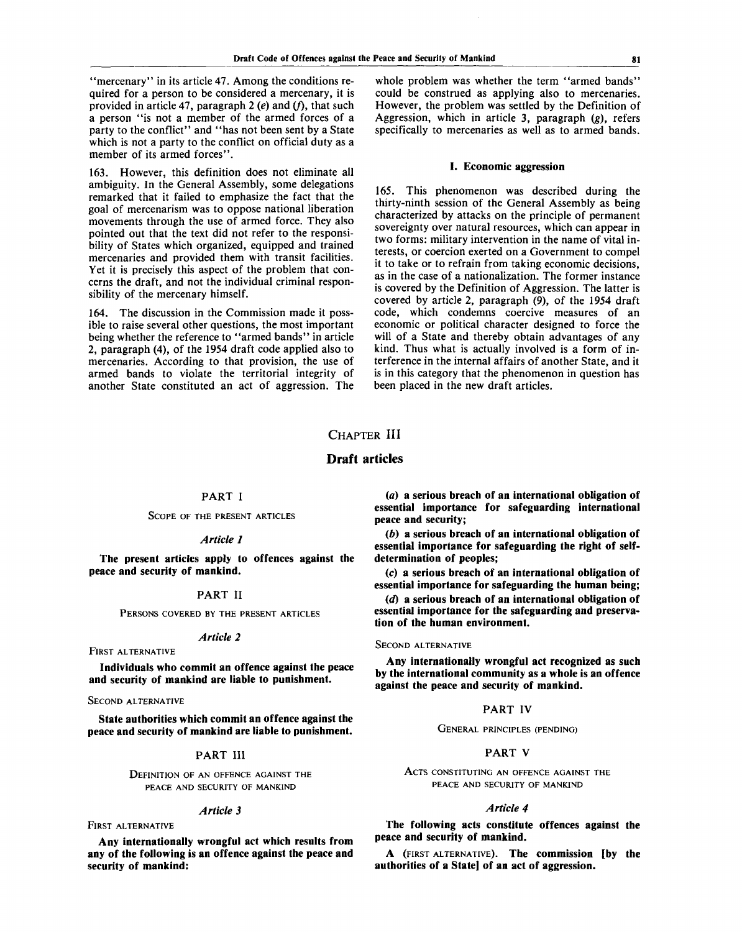"mercenary" in its article 47. Among the conditions required for a person to be considered a mercenary, it is provided in article 47, paragraph 2 (e) and (f), that such a person "is not a member of the armed forces of a party to the conflict" and "has not been sent by a State which is not a party to the conflict on official duty as a member of its armed forces".

163. However, this definition does not eliminate all ambiguity. In the General Assembly, some delegations remarked that it failed to emphasize the fact that the goal of mercenarism was to oppose national liberation movements through the use of armed force. They also pointed out that the text did not refer to the responsibility of States which organized, equipped and trained mercenaries and provided them with transit facilities. Yet it is precisely this aspect of the problem that concerns the draft, and not the individual criminal responsibility of the mercenary himself.

164. The discussion in the Commission made it possible to raise several other questions, the most important being whether the reference to "armed bands" in article 2, paragraph (4), of the 1954 draft code applied also to mercenaries. According to that provision, the use of armed bands to violate the territorial integrity of another State constituted an act of aggression. The

whole problem was whether the term "armed bands" could be construed as applying also to mercenaries. However, the problem was settled by the Definition of Aggression, which in article 3, paragraph (g), refers specifically to mercenaries as well as to armed bands.

#### **I. Economic aggression**

165. This phenomenon was described during the thirty-ninth session of the General Assembly as being characterized by attacks on the principle of permanent sovereignty over natural resources, which can appear in two forms: military intervention in the name of vital interests, or coercion exerted on a Government to compel it to take or to refrain from taking economic decisions, as in the case of a nationalization. The former instance is covered by the Definition of Aggression. The latter is covered by article 2, paragraph (9), of the 1954 draft code, which condemns coercive measures of an economic or political character designed to force the will of a State and thereby obtain advantages of any kind. Thus what is actually involved is a form of interference in the internal affairs of another State, and it is in this category that the phenomenon in question has been placed in the new draft articles.

## **CHAPTER III**

## **Draft articles**

## PART I

SCOPE OF THE PRESENT ARTICLES

#### *Article 1*

**The present articles apply to offences against the peace and security of mankind.**

#### PART **II**

PERSONS COVERED BY THE PRESENT ARTICLES

#### *Article 2*

FIRST ALTERNATIVE

**Individuals who commit an offence against the peace and security of mankind are liable to punishment.**

#### SECOND ALTERNATIVE

**State authorities which commit an offence against the peace and security of mankind are liable to punishment.**

### **PART III**

DEFINITION OF AN OFFENCE AGAINST THE PEACE AND SECURITY OF MANKIND

#### *Article 3*

FIRST ALTERNATIVE

**Any internationally wrongful act which results from any of the following is an offence against the peace and security of mankind:**

*(a)* **a serious breach of an international obligation of essential importance for safeguarding international peace and security;**

*(b)* **a serious breach of an international obligation of essential importance for safeguarding the right of selfdetermination of peoples;**

**(c) a serious breach of an international obligation of essential importance for safeguarding the human being;**

*id)* **a serious breach of an international obligation of essential importance for the safeguarding and preservation of the human environment.**

#### SECOND ALTERNATIVE

**Any internationally wrongful act recognized as such by the international community as a whole is an offence against the peace and security of mankind.**

## PART **IV**

GENERAL PRINCIPLES (PENDING)

## PART V

ACTS CONSTITUTING AN OFFENCE AGAINST THE PEACE AND SECURITY OF MANKIND

#### *Article 4*

**The following acts constitute offences against the peace and security of mankind.**

**A** (FIRST ALTERNATIVE). **The commission [by the authorities of a State] of an act of aggression.**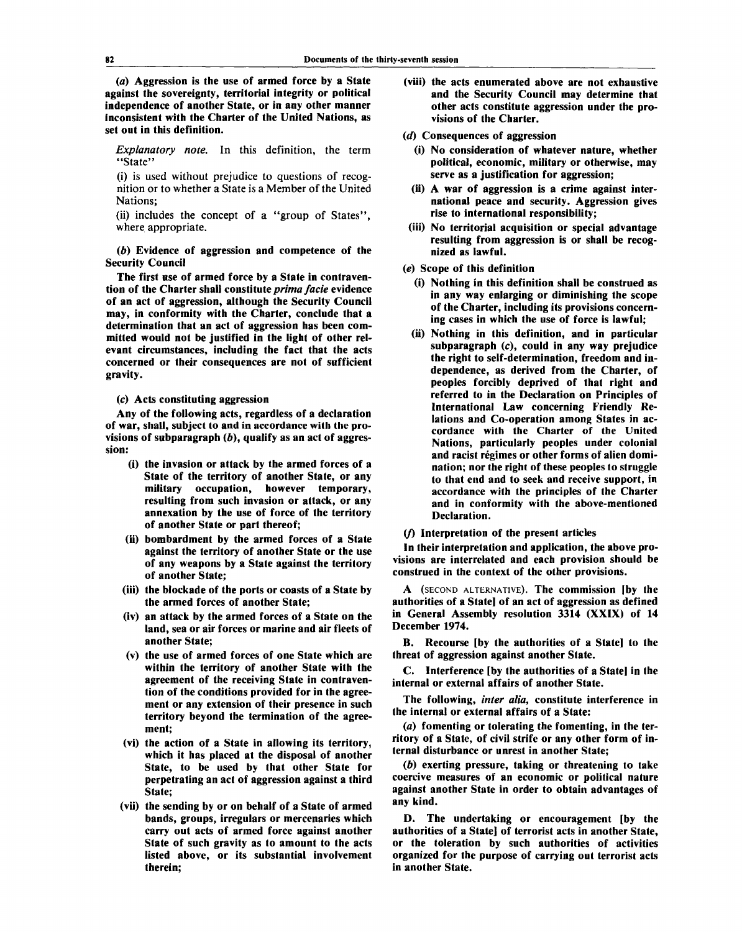**(a) Aggression is the use of armed force by a State against the sovereignty, territorial integrity or political independence of another State, or in any other manner inconsistent with the Charter of the United Nations, as set out in this definition.**

*Explanatory note.* **In this definition, the term "State"**

**(i) is used without prejudice to questions of recognition or to whether a State is a Member of the United Nations;**

**(ii) includes the concept of a "group of States", where appropriate.**

*(b)* **Evidence of aggression and competence of the Security Council**

**The first use of armed force by a State in contravention of the Charter shall constitute** *prima facie* **evidence of an act of aggression, although the Security Council may, in conformity with the Charter, conclude that a determination that an act of aggression has been committed would not be justified in the light of other relevant circumstances, including the fact that the acts concerned or their consequences are not of sufficient gravity.**

**(c) Acts constituting aggression**

**Any of the following acts, regardless of a declaration of war, shall, subject to and in accordance with the provisions of subparagraph (6), qualify as an act of aggression:**

- **(i) the invasion or attack by the armed forces of a State of the territory of another State, or any military occupation, however temporary, resulting from such invasion or attack, or any annexation by the use of force of the territory of another State or part thereof;**
- **(ii) bombardment by the armed forces of a State against the territory of another State or the use of any weapons by a State against the territory of another State;**
- **(Hi) the blockade of the ports or coasts of a State by the armed forces of another State;**
- **(iv) an attack by the armed forces of a State on the land, sea or air forces or marine and air fleets of another State;**
- **(v) the use of armed forces of one State which are within the territory of another State with the agreement of the receiving State in contravention of the conditions provided for in the agreement or any extension of their presence in such territory beyond the termination of the agreement;**
- **(vi) the action of a State in allowing its territory, which it has placed at the disposal of another State, to be used by that other State for perpetrating an act of aggression against a third State;**
- **(vii) the sending by or on behalf of a State of armed bands, groups, irregulars or mercenaries which carry out acts of armed force against another State of such gravity as to amount to the acts listed above, or its substantial involvement therein;**
- **(viii) the acts enumerated above are not exhaustive and the Security Council may determine that other acts constitute aggression under the provisions of the Charter.**
- *id)* **Consequences of aggression**
	- **(i) No consideration of whatever nature, whether political, economic, military or otherwise, may serve as a justification for aggression;**
	- **(ii) A war of aggression is a crime against international peace and security. Aggression gives rise to international responsibility;**
- **(iii) No territorial acquisition or special advantage resulting from aggression is or shall be recognized as lawful.**
- *(e)* **Scope of this definition**
	- **(i) Nothing in this definition shall be construed as in any way enlarging or diminishing the scope of the Charter, including its provisions concerning cases in which the use of force is lawful;**
	- **(ii) Nothing in this definition, and in particular subparagraph (c), could in any way prejudice the right to self-determination, freedom and independence, as derived from the Charter, of peoples forcibly deprived of that right and referred to in the Declaration on Principles of International Law concerning Friendly Relations and Co-operation among States in accordance with the Charter of the United Nations, particularly peoples under colonial** and racist régimes or other forms of alien domi**nation; nor the right of these peoples to struggle to that end and to seek and receive support, in accordance with the principles of the Charter and in conformity with the above-mentioned Declaration.**

#### **(/) Interpretation of the present articles**

**In their interpretation and application, the above provisions are interrelated and each provision should be construed in the context of the other provisions.**

**A (SECOND ALTERNATIVE). The commission (by the authorities of a State] of an act of aggression as defined in General Assembly resolution 3314 (XXIX) of 14 December 1974.**

**B. Recourse [by the authorities of a State] to the threat of aggression against another State.**

**C. Interference [by the authorities of a State] in the internal or external affairs of another State.**

**The following,** *inter alia,* **constitute interference in the internal or external affairs of a State:**

*(a)* **fomenting or tolerating the fomenting, in the territory of a State, of civil strife or any other form of internal disturbance or unrest in another State;**

*ib)* **exerting pressure, taking or threatening to take coercive measures of an economic or political nature against another State in order to obtain advantages of any kind.**

**D. The undertaking or encouragement [by the authorities of a State] of terrorist acts in another State, or the toleration by such authorities of activities organized for the purpose of carrying out terrorist acts in another State.**